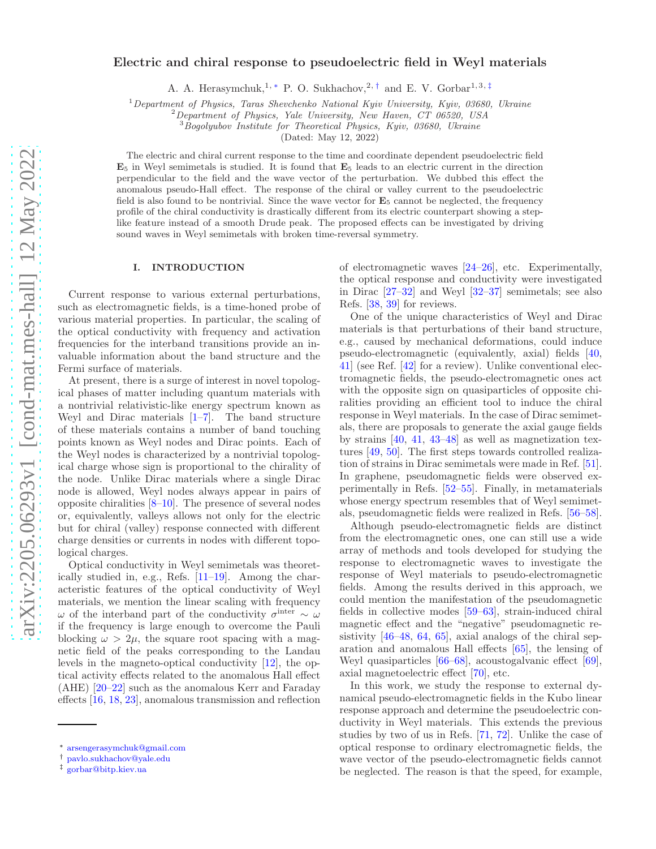# Electric and chiral response to pseudoelectric field in Weyl materials

A. A. Herasymchuk,<sup>1,\*</sup> P. O. Sukhachov,<sup>2,[†](#page-0-1)</sup> and E. V. Gorbar<sup>1,3,[‡](#page-0-2)</sup>

 $1$ Department of Physics, Taras Shevchenko National Kyiv University, Kyiv, 03680, Ukraine

 ${}^{2}$ Department of Physics, Yale University, New Haven, CT 06520, USA

 $3$ Bogolyubov Institute for Theoretical Physics, Kyiv, 03680, Ukraine

(Dated: May 12, 2022)

The electric and chiral current response to the time and coordinate dependent pseudoelectric field  $\mathbf{E}_5$  in Weyl semimetals is studied. It is found that  $\mathbf{E}_5$  leads to an electric current in the direction perpendicular to the field and the wave vector of the perturbation. We dubbed this effect the anomalous pseudo-Hall effect. The response of the chiral or valley current to the pseudoelectric field is also found to be nontrivial. Since the wave vector for  $\mathbf{E}_5$  cannot be neglected, the frequency profile of the chiral conductivity is drastically different from its electric counterpart showing a steplike feature instead of a smooth Drude peak. The proposed effects can be investigated by driving sound waves in Weyl semimetals with broken time-reversal symmetry.

# I. INTRODUCTION

Current response to various external perturbations, such as electromagnetic fields, is a time-honed probe of various material properties. In particular, the scaling of the optical conductivity with frequency and activation frequencies for the interband transitions provide an invaluable information about the band structure and the Fermi surface of materials.

At present, there is a surge of interest in novel topological phases of matter including quantum materials with a nontrivial relativistic-like energy spectrum known as Weyl and Dirac materials  $[1-7]$ . The band structure of these materials contains a number of band touching points known as Weyl nodes and Dirac points. Each of the Weyl nodes is characterized by a nontrivial topological charge whose sign is proportional to the chirality of the node. Unlike Dirac materials where a single Dirac node is allowed, Weyl nodes always appear in pairs of opposite chiralities  $[8-10]$ . The presence of several nodes or, equivalently, valleys allows not only for the electric but for chiral (valley) response connected with different charge densities or currents in nodes with different topological charges.

Optical conductivity in Weyl semimetals was theoretically studied in, e.g., Refs. [\[11](#page-14-4)[–19\]](#page-14-5). Among the characteristic features of the optical conductivity of Weyl materials, we mention the linear scaling with frequency ω of the interband part of the conductivity  $\sigma^{\text{inter}} \sim \omega$ if the frequency is large enough to overcome the Pauli blocking  $\omega > 2\mu$ , the square root spacing with a magnetic field of the peaks corresponding to the Landau levels in the magneto-optical conductivity [\[12](#page-14-6)], the optical activity effects related to the anomalous Hall effect (AHE) [\[20–](#page-14-7)[22\]](#page-14-8) such as the anomalous Kerr and Faraday effects [\[16](#page-14-9), [18,](#page-14-10) [23\]](#page-14-11), anomalous transmission and reflection of electromagnetic waves [\[24](#page-14-12)[–26\]](#page-14-13), etc. Experimentally, the optical response and conductivity were investigated in Dirac [\[27](#page-14-14)[–32](#page-15-0)] and Weyl [\[32](#page-15-0)[–37](#page-15-1)] semimetals; see also Refs. [\[38,](#page-15-2) [39\]](#page-15-3) for reviews.

One of the unique characteristics of Weyl and Dirac materials is that perturbations of their band structure, e.g., caused by mechanical deformations, could induce pseudo-electromagnetic (equivalently, axial) fields [\[40](#page-15-4), [41](#page-15-5)] (see Ref. [\[42](#page-15-6)] for a review). Unlike conventional electromagnetic fields, the pseudo-electromagnetic ones act with the opposite sign on quasiparticles of opposite chiralities providing an efficient tool to induce the chiral response in Weyl materials. In the case of Dirac semimetals, there are proposals to generate the axial gauge fields by strains [\[40](#page-15-4), [41](#page-15-5), [43](#page-15-7)[–48\]](#page-15-8) as well as magnetization textures [\[49,](#page-15-9) [50\]](#page-15-10). The first steps towards controlled realization of strains in Dirac semimetals were made in Ref. [\[51\]](#page-15-11). In graphene, pseudomagnetic fields were observed experimentally in Refs. [\[52](#page-15-12)[–55\]](#page-15-13). Finally, in metamaterials whose energy spectrum resembles that of Weyl semimetals, pseudomagnetic fields were realized in Refs. [\[56](#page-15-14)[–58\]](#page-16-0).

Although pseudo-electromagnetic fields are distinct from the electromagnetic ones, one can still use a wide array of methods and tools developed for studying the response to electromagnetic waves to investigate the response of Weyl materials to pseudo-electromagnetic fields. Among the results derived in this approach, we could mention the manifestation of the pseudomagnetic fields in collective modes [\[59](#page-16-1)[–63\]](#page-16-2), strain-induced chiral magnetic effect and the "negative" pseudomagnetic resistivity [\[46](#page-15-15)[–48,](#page-15-8) [64,](#page-16-3) [65](#page-16-4)], axial analogs of the chiral separation and anomalous Hall effects [\[65\]](#page-16-4), the lensing of Weyl quasiparticles [\[66](#page-16-5)[–68](#page-16-6)], acoustogalvanic effect [\[69\]](#page-16-7), axial magnetoelectric effect [\[70\]](#page-16-8), etc.

In this work, we study the response to external dynamical pseudo-electromagnetic fields in the Kubo linear response approach and determine the pseudoelectric conductivity in Weyl materials. This extends the previous studies by two of us in Refs. [\[71,](#page-16-9) [72\]](#page-16-10). Unlike the case of optical response to ordinary electromagnetic fields, the wave vector of the pseudo-electromagnetic fields cannot be neglected. The reason is that the speed, for example,

<span id="page-0-0"></span><sup>∗</sup> [arsengerasymchuk@gmail.com](mailto:arsengerasymchuk@gmail.com)

<span id="page-0-1"></span><sup>†</sup> [pavlo.sukhachov@yale.edu](mailto:pavlo.sukhachov@yale.edu)

<span id="page-0-2"></span><sup>‡</sup> [gorbar@bitp.kiev.ua](mailto:gorbar@bitp.kiev.ua)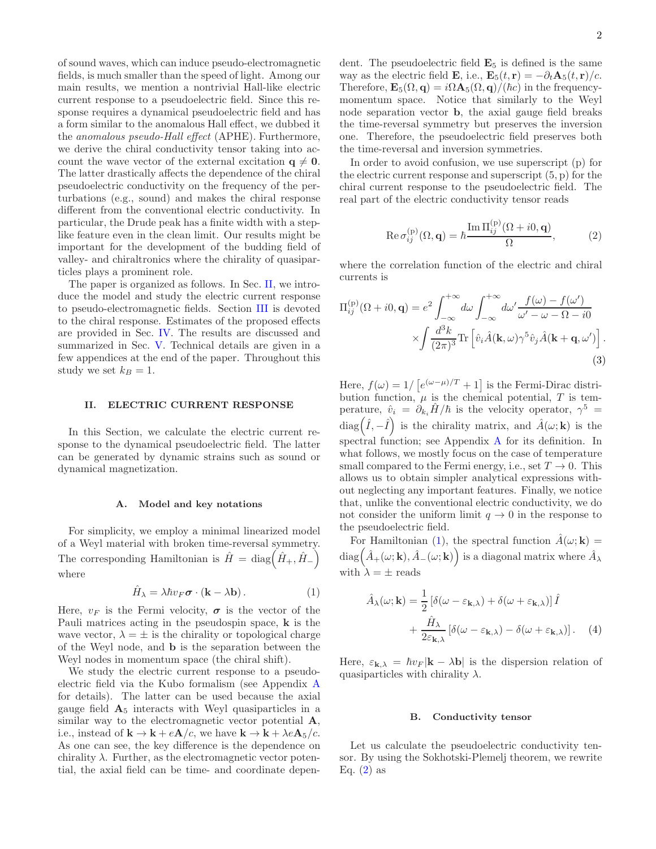of sound waves, which can induce pseudo-electromagnetic fields, is much smaller than the speed of light. Among our main results, we mention a nontrivial Hall-like electric current response to a pseudoelectric field. Since this response requires a dynamical pseudoelectric field and has a form similar to the anomalous Hall effect, we dubbed it the anomalous pseudo-Hall effect (APHE). Furthermore, we derive the chiral conductivity tensor taking into account the wave vector of the external excitation  $q \neq 0$ . The latter drastically affects the dependence of the chiral pseudoelectric conductivity on the frequency of the perturbations (e.g., sound) and makes the chiral response different from the conventional electric conductivity. In particular, the Drude peak has a finite width with a steplike feature even in the clean limit. Our results might be important for the development of the budding field of valley- and chiraltronics where the chirality of quasiparticles plays a prominent role.

The paper is organized as follows. In Sec. [II,](#page-1-0) we introduce the model and study the electric current response to pseudo-electromagnetic fields. Section [III](#page-2-0) is devoted to the chiral response. Estimates of the proposed effects are provided in Sec. [IV.](#page-5-0) The results are discussed and summarized in Sec. [V.](#page-7-0) Technical details are given in a few appendices at the end of the paper. Throughout this study we set  $k_B = 1$ .

### <span id="page-1-0"></span>II. ELECTRIC CURRENT RESPONSE

In this Section, we calculate the electric current response to the dynamical pseudoelectric field. The latter can be generated by dynamic strains such as sound or dynamical magnetization.

#### <span id="page-1-5"></span>A. Model and key notations

For simplicity, we employ a minimal linearized model of a Weyl material with broken time-reversal symmetry. The corresponding Hamiltonian is  $\hat{H} = \text{diag}(\hat{H}_+, \hat{H}_-)$ where

<span id="page-1-1"></span>
$$
\hat{H}_{\lambda} = \lambda \hbar v_F \boldsymbol{\sigma} \cdot (\mathbf{k} - \lambda \mathbf{b}). \tag{1}
$$

Here,  $v_F$  is the Fermi velocity,  $\sigma$  is the vector of the Pauli matrices acting in the pseudospin space, k is the wave vector,  $\lambda = \pm$  is the chirality or topological charge of the Weyl node, and b is the separation between the Weyl nodes in momentum space (the chiral shift).

We study the electric current response to a pseudoelectric field via the Kubo formalism (see Appendix [A](#page-8-0) for details). The latter can be used because the axial gauge field  $A_5$  interacts with Weyl quasiparticles in a similar way to the electromagnetic vector potential A, i.e., instead of  $\mathbf{k} \to \mathbf{k} + e\mathbf{A}/c$ , we have  $\mathbf{k} \to \mathbf{k} + \lambda e\mathbf{A}_5/c$ . As one can see, the key difference is the dependence on chirality  $\lambda$ . Further, as the electromagnetic vector potential, the axial field can be time- and coordinate dependent. The pseudoelectric field  $\mathbf{E}_5$  is defined is the same way as the electric field **E**, i.e.,  $\mathbf{E}_5(t, \mathbf{r}) = -\partial_t \mathbf{A}_5(t, \mathbf{r})/c$ . Therefore,  $\mathbf{E}_5(\Omega, \mathbf{q}) = i\Omega \mathbf{A}_5(\Omega, \mathbf{q})/(\hbar c)$  in the frequencymomentum space. Notice that similarly to the Weyl node separation vector b, the axial gauge field breaks the time-reversal symmetry but preserves the inversion one. Therefore, the pseudoelectric field preserves both the time-reversal and inversion symmetries.

In order to avoid confusion, we use superscript (p) for the electric current response and superscript (5, p) for the chiral current response to the pseudoelectric field. The real part of the electric conductivity tensor reads

<span id="page-1-2"></span>Re 
$$
\sigma_{ij}^{(p)}(\Omega, \mathbf{q}) = \hbar \frac{\text{Im } \Pi_{ij}^{(p)}(\Omega + i0, \mathbf{q})}{\Omega},
$$
 (2)

where the correlation function of the electric and chiral currents is

<span id="page-1-4"></span>
$$
\Pi_{ij}^{(p)}(\Omega + i0, \mathbf{q}) = e^2 \int_{-\infty}^{+\infty} d\omega \int_{-\infty}^{+\infty} d\omega' \frac{f(\omega) - f(\omega')}{\omega' - \omega - \Omega - i0} \times \int \frac{d^3k}{(2\pi)^3} \text{Tr} \left[ \hat{v}_i \hat{A}(\mathbf{k}, \omega) \gamma^5 \hat{v}_j \hat{A}(\mathbf{k} + \mathbf{q}, \omega') \right].
$$
\n(3)

Here,  $f(\omega) = 1/ \left[ e^{(\omega - \mu)/T} + 1 \right]$  is the Fermi-Dirac distribution function,  $\mu$  is the chemical potential, T is temperature,  $\hat{v}_i = \partial_{k_i} \hat{H} / \hbar$  is the velocity operator,  $\gamma^5 =$  $\text{diag}(\hat{I}, -\hat{I})$  is the chirality matrix, and  $\hat{A}(\omega; \mathbf{k})$  is the spectral function; see Appendix [A](#page-8-0) for its definition. In what follows, we mostly focus on the case of temperature small compared to the Fermi energy, i.e., set  $T \to 0$ . This allows us to obtain simpler analytical expressions without neglecting any important features. Finally, we notice that, unlike the conventional electric conductivity, we do not consider the uniform limit  $q \to 0$  in the response to the pseudoelectric field.

For Hamiltonian [\(1\)](#page-1-1), the spectral function  $\hat{A}(\omega; \mathbf{k}) =$  $\text{diag}\left(\hat{A}_{+}(\omega; \mathbf{k}), \hat{A}_{-}(\omega; \mathbf{k})\right)$  is a diagonal matrix where  $\hat{A}_{\lambda}$ with  $\lambda = \pm$  reads

<span id="page-1-3"></span>
$$
\hat{A}_{\lambda}(\omega; \mathbf{k}) = \frac{1}{2} \left[ \delta(\omega - \varepsilon_{\mathbf{k}, \lambda}) + \delta(\omega + \varepsilon_{\mathbf{k}, \lambda}) \right] \hat{I} + \frac{\hat{H}_{\lambda}}{2\varepsilon_{\mathbf{k}, \lambda}} \left[ \delta(\omega - \varepsilon_{\mathbf{k}, \lambda}) - \delta(\omega + \varepsilon_{\mathbf{k}, \lambda}) \right]. \tag{4}
$$

Here,  $\varepsilon_{\mathbf{k},\lambda} = \hbar v_F |\mathbf{k} - \lambda \mathbf{b}|$  is the dispersion relation of quasiparticles with chirality  $\lambda$ .

#### <span id="page-1-6"></span>B. Conductivity tensor

Let us calculate the pseudoelectric conductivity tensor. By using the Sokhotski-Plemelj theorem, we rewrite Eq.  $(2)$  as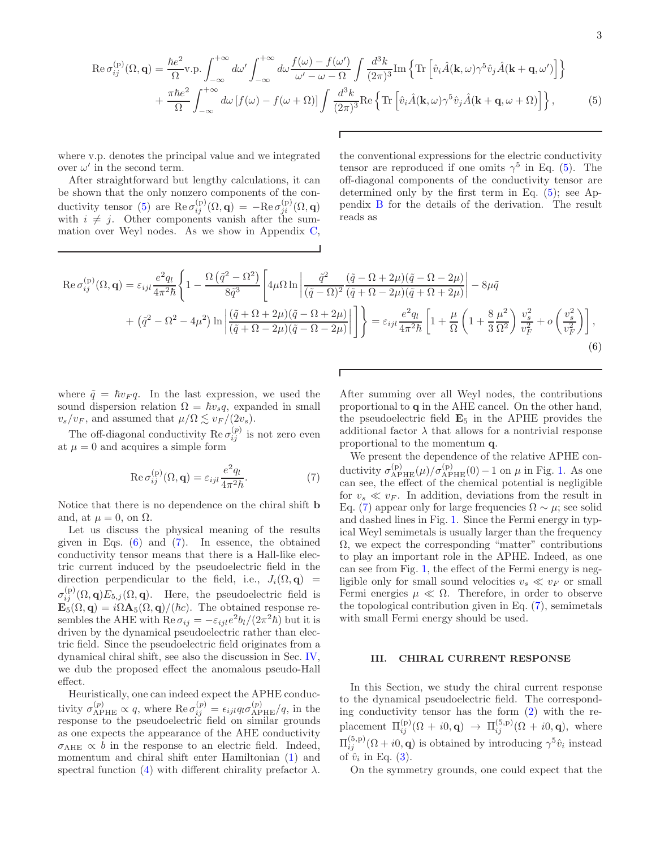<span id="page-2-1"></span>
$$
\operatorname{Re}\sigma_{ij}^{(p)}(\Omega,\mathbf{q}) = \frac{\hbar e^2}{\Omega} \operatorname{v.p.} \int_{-\infty}^{+\infty} d\omega' \int_{-\infty}^{+\infty} d\omega \frac{f(\omega) - f(\omega')}{\omega' - \omega - \Omega} \int \frac{d^3k}{(2\pi)^3} \operatorname{Im} \left\{ \operatorname{Tr} \left[ \hat{v}_i \hat{A}(\mathbf{k}, \omega) \gamma^5 \hat{v}_j \hat{A}(\mathbf{k} + \mathbf{q}, \omega') \right] \right\} + \frac{\pi\hbar e^2}{\Omega} \int_{-\infty}^{+\infty} d\omega \left[ f(\omega) - f(\omega + \Omega) \right] \int \frac{d^3k}{(2\pi)^3} \operatorname{Re} \left\{ \operatorname{Tr} \left[ \hat{v}_i \hat{A}(\mathbf{k}, \omega) \gamma^5 \hat{v}_j \hat{A}(\mathbf{k} + \mathbf{q}, \omega + \Omega) \right] \right\}, \tag{5}
$$

where v.p. denotes the principal value and we integrated over  $\omega'$  in the second term.

After straightforward but lengthy calculations, it can be shown that the only nonzero components of the con-ductivity tensor [\(5\)](#page-2-1) are  $\text{Re}\,\sigma_{ij}^{(p)}(\Omega,\mathbf{q}) = -\text{Re}\,\sigma_{ji}^{(p)}(\Omega,\mathbf{q})$ with  $i \neq j$ . Other components vanish after the summation over Weyl nodes. As we show in Appendix [C,](#page-10-0)

the conventional expressions for the electric conductivity tensor are reproduced if one omits  $\gamma^5$  in Eq. [\(5\)](#page-2-1). The off-diagonal components of the conductivity tensor are determined only by the first term in Eq. [\(5\)](#page-2-1); see Appendix [B](#page-9-0) for the details of the derivation. The result reads as

<span id="page-2-2"></span>
$$
\operatorname{Re}\sigma_{ij}^{(p)}(\Omega,\mathbf{q}) = \varepsilon_{ijl}\frac{e^2q_l}{4\pi^2\hbar} \left\{ 1 - \frac{\Omega\left(\tilde{q}^2 - \Omega^2\right)}{8\tilde{q}^3} \left[ 4\mu\Omega\ln\left|\frac{\tilde{q}^2}{(\tilde{q}-\Omega)^2}\frac{(\tilde{q}-\Omega+2\mu)(\tilde{q}-\Omega-2\mu)}{(\tilde{q}+\Omega-2\mu)(\tilde{q}+\Omega+2\mu)}\right| - 8\mu\tilde{q} \right. \\ \left. + \left. \left(\tilde{q}^2 - \Omega^2 - 4\mu^2\right)\ln\left|\frac{(\tilde{q}+\Omega+2\mu)(\tilde{q}-\Omega+2\mu)}{(\tilde{q}+\Omega-2\mu)(\tilde{q}-\Omega-2\mu)}\right| \right] \right\} = \varepsilon_{ijl}\frac{e^2q_l}{4\pi^2\hbar} \left[ 1 + \frac{\mu}{\Omega}\left(1 + \frac{8}{3}\frac{\mu^2}{\Omega^2}\right)\frac{v_s^2}{v_F^2} + o\left(\frac{v_s^2}{v_F^2}\right) \right],
$$
\n(6)

where  $\tilde{q} = \hbar v_F q$ . In the last expression, we used the sound dispersion relation  $\Omega = \hbar v_s q$ , expanded in small  $v_s/v_F$ , and assumed that  $\mu/\Omega \lesssim v_F/(2v_s)$ .

The off-diagonal conductivity  $\text{Re}\,\sigma_{ij}^{(p)}$  is not zero even at  $\mu = 0$  and acquires a simple form

<span id="page-2-3"></span>
$$
\operatorname{Re}\sigma_{ij}^{(p)}(\Omega,\mathbf{q}) = \varepsilon_{ijl} \frac{e^2 q_l}{4\pi^2 \hbar}.
$$
 (7)

Notice that there is no dependence on the chiral shift b and, at  $\mu = 0$ , on  $\Omega$ .

Let us discuss the physical meaning of the results given in Eqs.  $(6)$  and  $(7)$ . In essence, the obtained conductivity tensor means that there is a Hall-like electric current induced by the pseudoelectric field in the direction perpendicular to the field, i.e.,  $J_i(\Omega, \mathbf{q})$  =  $\sigma_{ij}^{(p)}(\Omega, \mathbf{q})E_{5,j}(\Omega, \mathbf{q})$ . Here, the pseudoelectric field is  $\mathbf{E}_5(\Omega, \mathbf{q}) = i\Omega \mathbf{A}_5(\Omega, \mathbf{q})/(\hbar c)$ . The obtained response resembles the AHE with  $\operatorname{Re} \sigma_{ij} = -\varepsilon_{ijl} e^2 b_l/(2\pi^2 \hbar)$  but it is driven by the dynamical pseudoelectric rather than electric field. Since the pseudoelectric field originates from a dynamical chiral shift, see also the discussion in Sec. [IV,](#page-5-0) we dub the proposed effect the anomalous pseudo-Hall effect.

Heuristically, one can indeed expect the APHE conductivity  $\sigma_{\text{APHE}}^{(p)} \propto q$ , where  $\text{Re } \sigma_{ij}^{(p)} = \epsilon_{ijl} q_l \sigma_{\text{APHE}}^{(p)} / q$ , in the response to the pseudoelectric field on similar grounds as one expects the appearance of the AHE conductivity  $\sigma_{\text{AHE}} \propto b$  in the response to an electric field. Indeed, momentum and chiral shift enter Hamiltonian [\(1\)](#page-1-1) and spectral function [\(4\)](#page-1-3) with different chirality prefactor  $\lambda$ . After summing over all Weyl nodes, the contributions proportional to q in the AHE cancel. On the other hand, the pseudoelectric field  $\mathbf{E}_5$  in the APHE provides the additional factor  $\lambda$  that allows for a nontrivial response proportional to the momentum q.

We present the dependence of the relative APHE conductivity  $\sigma_{APHE}^{(p)}(\mu)/\sigma_{APHE}^{(p)}(0) - 1$  on  $\mu$  in Fig. [1.](#page-3-0) As one can see, the effect of the chemical potential is negligible for  $v_s \ll v_F$ . In addition, deviations from the result in Eq. [\(7\)](#page-2-3) appear only for large frequencies  $\Omega \sim \mu$ ; see solid and dashed lines in Fig. [1.](#page-3-0) Since the Fermi energy in typical Weyl semimetals is usually larger than the frequency  $\Omega$ , we expect the corresponding "matter" contributions to play an important role in the APHE. Indeed, as one can see from Fig. [1,](#page-3-0) the effect of the Fermi energy is negligible only for small sound velocities  $v_s \ll v_F$  or small Fermi energies  $\mu \ll \Omega$ . Therefore, in order to observe the topological contribution given in Eq. [\(7\)](#page-2-3), semimetals with small Fermi energy should be used.

### <span id="page-2-0"></span>III. CHIRAL CURRENT RESPONSE

In this Section, we study the chiral current response to the dynamical pseudoelectric field. The corresponding conductivity tensor has the form [\(2\)](#page-1-2) with the replacement  $\Pi_{ij}^{(p)}(\Omega + i0, \mathbf{q}) \rightarrow \Pi_{ij}^{(5,p)}(\Omega + i0, \mathbf{q})$ , where  $\Pi_{ij}^{(5,p)}(\Omega+i0,\mathbf{q})$  is obtained by introducing  $\gamma^5\hat{v}_i$  instead of  $\hat{v}_i$  in Eq. [\(3\)](#page-1-4).

On the symmetry grounds, one could expect that the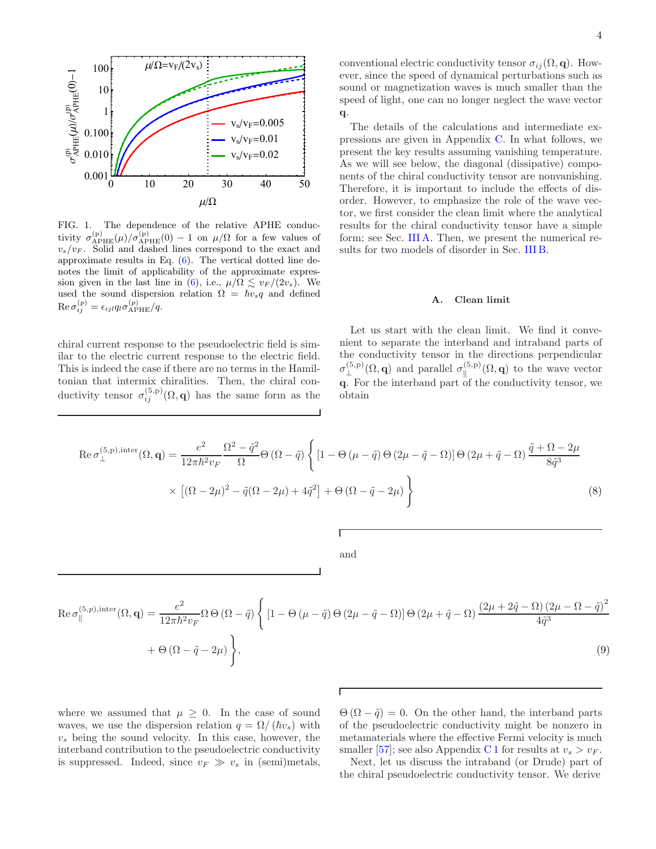

<span id="page-3-0"></span>FIG. 1. The dependence of the relative APHE conductivity  $\sigma_{APHE}^{(p)}(\mu)/\sigma_{APHE}^{(p)}(0) - 1$  on  $\mu/\Omega$  for a few values of  $v_s/v_F$ . Solid and dashed lines correspond to the exact and approximate results in Eq. [\(6\)](#page-2-2). The vertical dotted line denotes the limit of applicability of the approximate expres-sion given in the last line in [\(6\)](#page-2-2), i.e.,  $\mu/\Omega \lesssim v_F/(2v_s)$ . We used the sound dispersion relation  $\Omega = \hbar v_s q$  and defined  $\mathrm{Re}\,\sigma_{ij}^{(p)}=\epsilon_{ijl}q_l\sigma_{\mathrm{APHE}}^{(p)}/q.$ 

chiral current response to the pseudoelectric field is similar to the electric current response to the electric field. This is indeed the case if there are no terms in the Hamiltonian that intermix chiralities. Then, the chiral conductivity tensor  $\sigma_{ij}^{(5,p)}(\Omega, \mathbf{q})$  has the same form as the conventional electric conductivity tensor  $\sigma_{ij}(\Omega, \mathbf{q})$ . However, since the speed of dynamical perturbations such as sound or magnetization waves is much smaller than the speed of light, one can no longer neglect the wave vector q.

The details of the calculations and intermediate expressions are given in Appendix [C.](#page-10-0) In what follows, we present the key results assuming vanishing temperature. As we will see below, the diagonal (dissipative) components of the chiral conductivity tensor are nonvanishing. Therefore, it is important to include the effects of disorder. However, to emphasize the role of the wave vector, we first consider the clean limit where the analytical results for the chiral conductivity tensor have a simple form; see Sec. [III A.](#page-3-1) Then, we present the numerical results for two models of disorder in Sec. [III B.](#page-5-1)

### <span id="page-3-1"></span>A. Clean limit

Let us start with the clean limit. We find it convenient to separate the interband and intraband parts of the conductivity tensor in the directions perpendicular  $\sigma_{\perp}^{(5,p)}(\Omega, \mathbf{q})$  and parallel  $\sigma_{\parallel}^{(5,p)}$  $\mathbb{E}^{(3,p)}(\Omega,\mathbf{q})$  to the wave vector q. For the interband part of the conductivity tensor, we obtain

<span id="page-3-2"></span>
$$
\operatorname{Re}\sigma_{\perp}^{(5,\mathbf{p}),\text{inter}}(\Omega,\mathbf{q}) = \frac{e^2}{12\pi\hbar^2 v_F} \frac{\Omega^2 - \tilde{q}^2}{\Omega} \Theta\left(\Omega - \tilde{q}\right) \left\{ \left[1 - \Theta\left(\mu - \tilde{q}\right) \Theta\left(2\mu - \tilde{q} - \Omega\right)\right] \Theta\left(2\mu + \tilde{q} - \Omega\right) \frac{\tilde{q} + \Omega - 2\mu}{8\tilde{q}^3} \right\}
$$

$$
\times \left[ (\Omega - 2\mu)^2 - \tilde{q}(\Omega - 2\mu) + 4\tilde{q}^2 \right] + \Theta\left(\Omega - \tilde{q} - 2\mu\right) \right\}
$$
(8)

and

<span id="page-3-3"></span>
$$
\operatorname{Re}\sigma_{\parallel}^{(5,p),\text{inter}}(\Omega,\mathbf{q}) = \frac{e^2}{12\pi\hbar^2 v_F} \Omega \Theta (\Omega - \tilde{q}) \left\{ \left[ 1 - \Theta(\mu - \tilde{q}) \Theta(2\mu - \tilde{q} - \Omega) \right] \Theta(2\mu + \tilde{q} - \Omega) \frac{(2\mu + 2\tilde{q} - \Omega)(2\mu - \Omega - \tilde{q})^2}{4\tilde{q}^3} \right. \\ \left. + \Theta(\Omega - \tilde{q} - 2\mu) \right\},\tag{9}
$$

where we assumed that  $\mu \geq 0$ . In the case of sound waves, we use the dispersion relation  $q = \Omega/(\hbar v_s)$  with  $v<sub>s</sub>$  being the sound velocity. In this case, however, the interband contribution to the pseudoelectric conductivity is suppressed. Indeed, since  $v_F \gg v_s$  in (semi)metals,

 $\Theta(\Omega - \tilde{q}) = 0$ . On the other hand, the interband parts of the pseudoelectric conductivity might be nonzero in metamaterials where the effective Fermi velocity is much smaller [\[57\]](#page-15-16); see also Appendix [C 1](#page-10-1) for results at  $v_s > v_F$ .

Next, let us discuss the intraband (or Drude) part of the chiral pseudoelectric conductivity tensor. We derive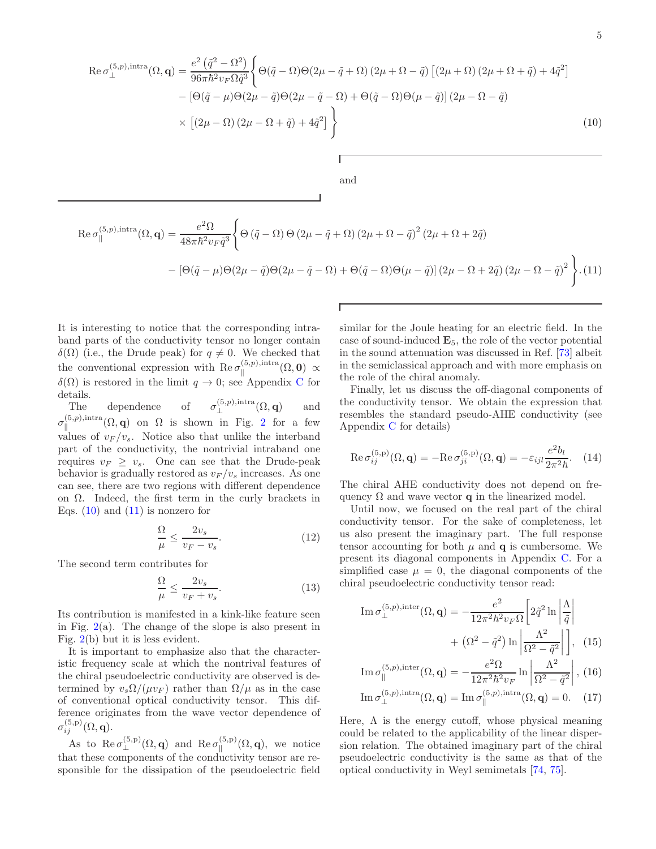<span id="page-4-0"></span>
$$
\operatorname{Re}\sigma_{\perp}^{(5,p),\text{intra}}(\Omega,\mathbf{q}) = \frac{e^{2}(\tilde{q}^{2}-\Omega^{2})}{96\pi\hbar^{2}v_{F}\Omega\tilde{q}^{3}} \Biggl\{ \Theta(\tilde{q}-\Omega)\Theta(2\mu-\tilde{q}+\Omega)\left(2\mu+\Omega-\tilde{q}\right) \left[\left(2\mu+\Omega\right)\left(2\mu+\Omega+\tilde{q}\right)+4\tilde{q}^{2}\right] \Biggr\} - \left[\Theta(\tilde{q}-\mu)\Theta(2\mu-\tilde{q})\Theta(2\mu-\tilde{q}-\Omega) + \Theta(\tilde{q}-\Omega)\Theta(\mu-\tilde{q})\right]\left(2\mu-\Omega-\tilde{q}\right) \times \left[\left(2\mu-\Omega\right)\left(2\mu-\Omega+\tilde{q}\right)+4\tilde{q}^{2}\right] \Biggr\}
$$
\nand\n
$$
\operatorname{and}
$$
\n
$$
\operatorname{Re}\sigma_{\parallel}^{(5,p),\text{intra}}(\Omega,\mathbf{q}) = \frac{e^{2}\Omega}{48\pi\hbar^{2}v_{F}\tilde{q}^{3}} \Biggl\{ \Theta\left(\tilde{q}-\Omega\right)\Theta\left(2\mu-\tilde{q}+\Omega\right)\left(2\mu+\Omega-\tilde{q}\right)^{2}\left(2\mu+\Omega+2\tilde{q}\right) \Biggr\}
$$
\n
$$
-\left[\Theta(\tilde{q}-\mu)\Theta(2\mu-\tilde{q})\Theta(2\mu-\tilde{q}-\Omega) + \Theta(\tilde{q}-\Omega)\Theta(\mu-\tilde{q})\right]\left(2\mu-\Omega+2\tilde{q}\right)\left(2\mu-\Omega-\tilde{q}\right)^{2} \Biggr\}.\tag{11}
$$

<span id="page-4-1"></span>It is interesting to notice that the corresponding intraband parts of the conductivity tensor no longer contain δ(Ω) (i.e., the Drude peak) for  $q \neq 0$ . We checked that the conventional expression with  $\text{Re}\,\sigma_{\parallel}^{(5,p),\text{intra}}$  $\mathbb{R}^{(3,p),\text{intra}}( \Omega,\mathbf{0}) \,\propto\,$  $\delta(\Omega)$  is restored in the limit  $q \to 0$ ; see Appendix [C](#page-10-0) for details.

The dependence of  $\sigma_{\perp}^{(5,p),\text{intra}}(\Omega,\mathbf{q})$  and ⊥  $\sigma_\parallel^{(5,p),{\rm intra}}$  $\lim_{\parallel}$  (0, p), intra ( $\Omega$ , q) on  $\Omega$  is shown in Fig. [2](#page-5-2) for a few values of  $v_F / v_s$ . Notice also that unlike the interband part of the conductivity, the nontrivial intraband one requires  $v_F \geq v_s$ . One can see that the Drude-peak behavior is gradually restored as  $v_F/v_s$  increases. As one can see, there are two regions with different dependence on  $\Omega$ . Indeed, the first term in the curly brackets in Eqs.  $(10)$  and  $(11)$  is nonzero for

<span id="page-4-2"></span>
$$
\frac{\Omega}{\mu} \le \frac{2v_s}{v_F - v_s}.\tag{12}
$$

The second term contributes for

$$
\frac{\Omega}{\mu} \le \frac{2v_s}{v_F + v_s}.\tag{13}
$$

Its contribution is manifested in a kink-like feature seen in Fig.  $2(a)$  $2(a)$ . The change of the slope is also present in Fig. [2\(](#page-5-2)b) but it is less evident.

It is important to emphasize also that the characteristic frequency scale at which the nontrival features of the chiral pseudoelectric conductivity are observed is determined by  $v_s \Omega / (\mu v_F)$  rather than  $\Omega / \mu$  as in the case of conventional optical conductivity tensor. This difference originates from the wave vector dependence of  $\sigma^{(5,\text{p})}_{ij}(\Omega,\mathbf{q}).$ 

As to  $\text{Re}\,\sigma_{\perp}^{(5,\text{p})}(\Omega,\mathbf{q})$  and  $\text{Re}\,\sigma_{\parallel}^{(5,\text{p})}$  $\mathbb{E}^{(0,p)}(\Omega,\mathbf{q})$ , we notice that these components of the conductivity tensor are responsible for the dissipation of the pseudoelectric field similar for the Joule heating for an electric field. In the case of sound-induced  $\mathbf{E}_5$ , the role of the vector potential in the sound attenuation was discussed in Ref. [\[73\]](#page-16-11) albeit in the semiclassical approach and with more emphasis on the role of the chiral anomaly.

Finally, let us discuss the off-diagonal components of the conductivity tensor. We obtain the expression that resembles the standard pseudo-AHE conductivity (see Appendix [C](#page-10-0) for details)

$$
\operatorname{Re}\sigma_{ij}^{(5,\mathbf{p})}(\Omega,\mathbf{q}) = -\operatorname{Re}\sigma_{ji}^{(5,\mathbf{p})}(\Omega,\mathbf{q}) = -\varepsilon_{ijl}\frac{e^2b_l}{2\pi^2\hbar}.\tag{14}
$$

The chiral AHE conductivity does not depend on frequency  $\Omega$  and wave vector q in the linearized model.

Until now, we focused on the real part of the chiral conductivity tensor. For the sake of completeness, let us also present the imaginary part. The full response tensor accounting for both  $\mu$  and  $\mathbf q$  is cumbersome. We present its diagonal components in Appendix [C.](#page-10-0) For a simplified case  $\mu = 0$ , the diagonal components of the chiral pseudoelectric conductivity tensor read:

Im 
$$
\sigma_{\perp}^{(5,p),\text{inter}}(\Omega, \mathbf{q}) = -\frac{e^2}{12\pi^2 \hbar^2 v_F \Omega} \left[ 2\tilde{q}^2 \ln \left| \frac{\Lambda}{\tilde{q}} \right| + \left( \Omega^2 - \tilde{q}^2 \right) \ln \left| \frac{\Lambda^2}{\Omega^2 - \tilde{q}^2} \right| \right],
$$
 (15)

Im 
$$
\sigma_{\parallel}^{(5,p),\text{inter}}(\Omega, \mathbf{q}) = -\frac{e^2 \Omega}{12\pi^2 \hbar^2 v_F} \ln \left| \frac{\Lambda^2}{\Omega^2 - \tilde{q}^2} \right|
$$
, (16)

Im 
$$
\sigma_{\perp}^{(5,p),\text{intra}}(\Omega, \mathbf{q}) = \text{Im } \sigma_{\parallel}^{(5,p),\text{intra}}(\Omega, \mathbf{q}) = 0.
$$
 (17)

Here,  $\Lambda$  is the energy cutoff, whose physical meaning could be related to the applicability of the linear dispersion relation. The obtained imaginary part of the chiral pseudoelectric conductivity is the same as that of the optical conductivity in Weyl semimetals [\[74,](#page-16-12) [75\]](#page-16-13).

.(11)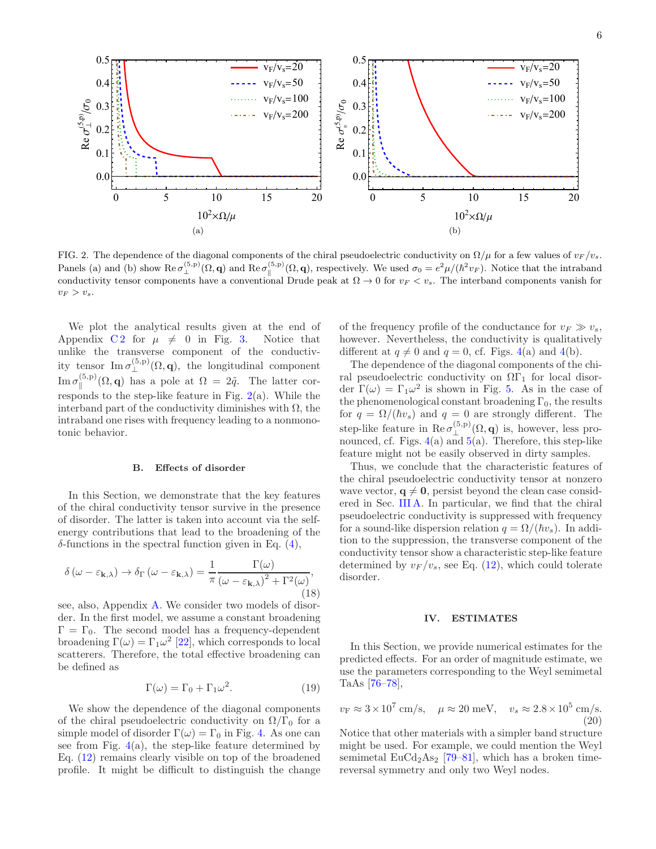

<span id="page-5-2"></span>FIG. 2. The dependence of the diagonal components of the chiral pseudoelectric conductivity on  $\Omega/\mu$  for a few values of  $v_F/v_s$ . Panels (a) and (b) show  $\text{Re}\,\sigma_{\perp}^{(5,\text{p})}(\Omega,\mathbf{q})$  and  $\text{Re}\,\sigma_{\parallel}^{(5,\text{p})}(\Omega,\mathbf{q})$ , respectively. We used  $\sigma_0 = e^2\mu/(\hbar^2v_F)$ . Notice that the intraband conductivity tensor components have a conventional Drude peak at  $\Omega \to 0$  for  $v_F < v_s$ . The interband components vanish for  $v_F > v_s$ .

We plot the analytical results given at the end of Appendix  $C_2$  for  $\mu \neq 0$  in Fig. [3.](#page-6-0) Notice that unlike the transverse component of the conductivity tensor Im  $\sigma_{\perp}^{(5,p)}(\Omega, \mathbf{q})$ , the longitudinal component  $\mathrm{Im}\,\sigma_{\parallel}^{(5,\mathrm{p})}$  $\lim_{\parallel}^{(5,p)}(\Omega,\mathbf{q})$  has a pole at  $\Omega = 2\tilde{q}$ . The latter corresponds to the step-like feature in Fig.  $2(a)$  $2(a)$ . While the interband part of the conductivity diminishes with  $\Omega$ , the intraband one rises with frequency leading to a nonmonotonic behavior.

### <span id="page-5-1"></span>B. Effects of disorder

In this Section, we demonstrate that the key features of the chiral conductivity tensor survive in the presence of disorder. The latter is taken into account via the selfenergy contributions that lead to the broadening of the δ-functions in the spectral function given in Eq. [\(4\)](#page-1-3),

$$
\delta\left(\omega - \varepsilon_{\mathbf{k},\lambda}\right) \to \delta_{\Gamma}\left(\omega - \varepsilon_{\mathbf{k},\lambda}\right) = \frac{1}{\pi} \frac{\Gamma(\omega)}{\left(\omega - \varepsilon_{\mathbf{k},\lambda}\right)^2 + \Gamma^2(\omega)},\tag{18}
$$

see, also, Appendix [A.](#page-8-0) We consider two models of disorder. In the first model, we assume a constant broadening  $\Gamma = \Gamma_0$ . The second model has a frequency-dependent broadening  $\Gamma(\omega) = \Gamma_1 \omega^2$  [\[22](#page-14-8)], which corresponds to local scatterers. Therefore, the total effective broadening can be defined as

<span id="page-5-3"></span>
$$
\Gamma(\omega) = \Gamma_0 + \Gamma_1 \omega^2. \tag{19}
$$

We show the dependence of the diagonal components of the chiral pseudoelectric conductivity on  $\Omega/\Gamma_0$  for a simple model of disorder  $\Gamma(\omega) = \Gamma_0$  in Fig. [4.](#page-6-1) As one can see from Fig.  $4(a)$  $4(a)$ , the step-like feature determined by Eq. [\(12\)](#page-4-2) remains clearly visible on top of the broadened profile. It might be difficult to distinguish the change of the frequency profile of the conductance for  $v_F \gg v_s$ , however. Nevertheless, the conductivity is qualitatively different at  $q \neq 0$  and  $q = 0$ , cf. Figs. [4\(](#page-6-1)a) and 4(b).

The dependence of the diagonal components of the chiral pseudoelectric conductivity on  $\Omega\Gamma_1$  for local disorder  $\Gamma(\omega) = \Gamma_1 \omega^2$  is shown in Fig. [5.](#page-7-1) As in the case of the phenomenological constant broadening  $\Gamma_0$ , the results for  $q = \Omega/(\hbar v_s)$  and  $q = 0$  are strongly different. The step-like feature in  $\text{Re}\,\sigma_{\perp}^{(5,p)}(\Omega,\mathbf{q})$  is, however, less pronounced, cf. Figs.  $4(a)$  $4(a)$  and  $5(a)$  $5(a)$ . Therefore, this step-like feature might not be easily observed in dirty samples.

Thus, we conclude that the characteristic features of the chiral pseudoelectric conductivity tensor at nonzero wave vector,  $q \neq 0$ , persist beyond the clean case considered in Sec. [III A.](#page-3-1) In particular, we find that the chiral pseudoelectric conductivity is suppressed with frequency for a sound-like dispersion relation  $q = \Omega/(\hbar v_s)$ . In addition to the suppression, the transverse component of the conductivity tensor show a characteristic step-like feature determined by  $v_F/v_s$ , see Eq. [\(12\)](#page-4-2), which could tolerate disorder.

### <span id="page-5-0"></span>IV. ESTIMATES

In this Section, we provide numerical estimates for the predicted effects. For an order of magnitude estimate, we use the parameters corresponding to the Weyl semimetal TaAs [\[76](#page-16-14)[–78\]](#page-16-15),

$$
v_{\rm F} \approx 3 \times 10^7 \text{ cm/s}, \quad \mu \approx 20 \text{ meV}, \quad v_s \approx 2.8 \times 10^5 \text{ cm/s}.
$$
\n
$$
(20)
$$

Notice that other materials with a simpler band structure might be used. For example, we could mention the Weyl semimetal  $EuCd<sub>2</sub>As<sub>2</sub>$  [\[79](#page-16-16)[–81](#page-16-17)], which has a broken timereversal symmetry and only two Weyl nodes.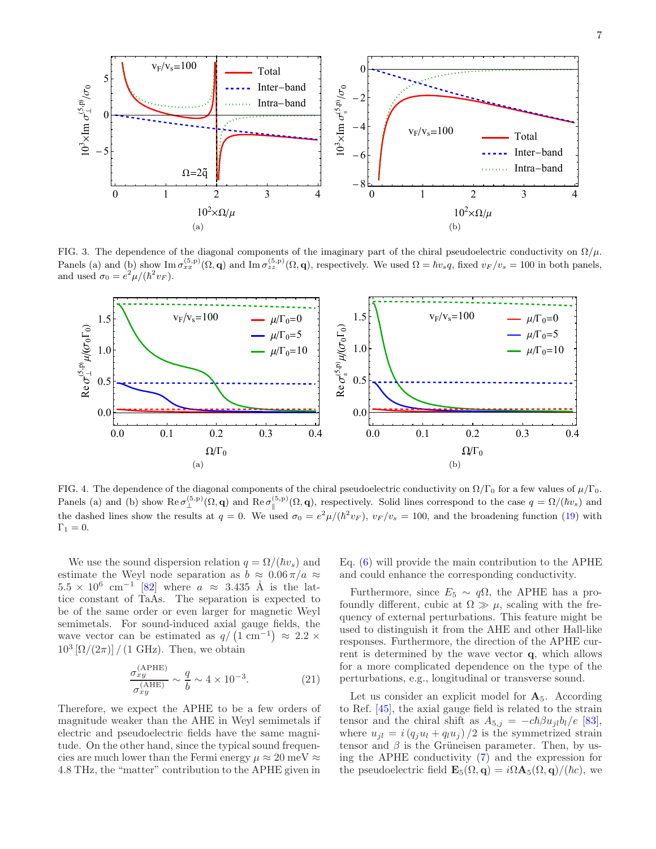

<span id="page-6-0"></span>FIG. 3. The dependence of the diagonal components of the imaginary part of the chiral pseudoelectric conductivity on  $\Omega/\mu$ . Panels (a) and (b) show Im  $\sigma_{xx}^{(5,p)}(\Omega, \mathbf{q})$  and Im  $\sigma_{zz}^{(5,p)}(\Omega, \mathbf{q})$ , respectively. We used  $\Omega = \hbar v_s q$ , fixed  $v_F/v_s = 100$  in both panels, and used  $\sigma_0 = e^2 \mu / (\hbar^2 v_F)$ .



<span id="page-6-1"></span>FIG. 4. The dependence of the diagonal components of the chiral pseudoelectric conductivity on  $\Omega/\Gamma_0$  for a few values of  $\mu/\Gamma_0$ . Panels (a) and (b) show  $\text{Re}\,\sigma_{\perp}^{(5,\text{p})}(\Omega,\mathbf{q})$  and  $\text{Re}\,\sigma_{\parallel}^{(5,\text{p})}(\Omega,\mathbf{q})$ , respectively. Solid lines correspond to the case  $q = \Omega/(\hbar v_s)$  and the dashed lines show the results at  $q = 0$ . We used  $\sigma_0 = e^2 \mu / (\hbar^2 v_F)$ ,  $v_F / v_s = 100$ , and the broadening function [\(19\)](#page-5-3) with  $\Gamma_1 = 0.$ 

We use the sound dispersion relation  $q = \Omega/(\hbar v_s)$  and estimate the Weyl node separation as  $b \approx 0.06 \pi/a \approx$  $5.5 \times 10^6$  cm<sup>-1</sup> [\[82](#page-16-18)] where  $a \approx 3.435$  Å is the lattice constant of TaAs. The separation is expected to be of the same order or even larger for magnetic Weyl semimetals. For sound-induced axial gauge fields, the wave vector can be estimated as  $q/(1 \text{ cm}^{-1}) \approx 2.2 \times$  $10^3 \left[ \Omega / (2\pi) \right] / (1 \text{ GHz})$ . Then, we obtain

$$
\frac{\sigma_{xy}^{\text{(APHE)}}}{\sigma_{xy}^{\text{(AHE)}}} \sim \frac{q}{b} \sim 4 \times 10^{-3}.
$$
 (21)

Therefore, we expect the APHE to be a few orders of magnitude weaker than the AHE in Weyl semimetals if electric and pseudoelectric fields have the same magnitude. On the other hand, since the typical sound frequencies are much lower than the Fermi energy  $\mu \approx 20 \text{ meV} \approx$ 4.8 THz, the "matter" contribution to the APHE given in Eq. [\(6\)](#page-2-2) will provide the main contribution to the APHE and could enhance the corresponding conductivity.

Furthermore, since  $E_5 \sim q\Omega$ , the APHE has a profoundly different, cubic at  $\Omega \gg \mu$ , scaling with the frequency of external perturbations. This feature might be used to distinguish it from the AHE and other Hall-like responses. Furthermore, the direction of the APHE current is determined by the wave vector q, which allows for a more complicated dependence on the type of the perturbations, e.g., longitudinal or transverse sound.

Let us consider an explicit model for  $A_5$ . According to Ref. [\[45](#page-15-17)], the axial gauge field is related to the strain tensor and the chiral shift as  $A_{5,j} = -c\hbar \beta u_{jl}b_l/e$  [\[83\]](#page-16-19), where  $u_{jl} = i(q_j u_l + q_l u_j)/2$  is the symmetrized strain tensor and  $\beta$  is the Grüneisen parameter. Then, by using the APHE conductivity [\(7\)](#page-2-3) and the expression for the pseudoelectric field  $\mathbf{E}_5(\Omega, \mathbf{q}) = i\Omega \mathbf{A}_5(\Omega, \mathbf{q})/(\hbar c)$ , we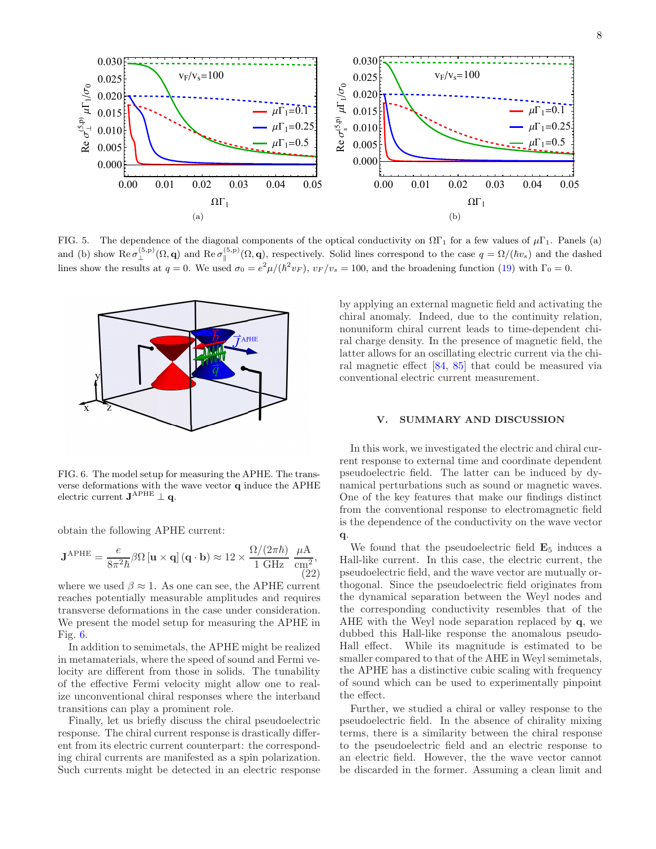

<span id="page-7-1"></span>FIG. 5. The dependence of the diagonal components of the optical conductivity on  $\Omega\Gamma_1$  for a few values of  $\mu\Gamma_1$ . Panels (a) and (b) show  $\text{Re}\,\sigma_{\perp}^{(5,\text{p})}(\Omega,\mathbf{q})$  and  $\text{Re}\,\sigma_{\parallel}^{(5,\text{p})}(\Omega,\mathbf{q})$ , respectively. Solid lines correspond to the case  $q = \Omega/(\hbar v_s)$  and the dashed lines show the results at  $q = 0$ . We used  $\sigma_0 = e^2 \mu / (\hbar^2 v_F)$ ,  $v_F/v_s = 100$ , and the broadening function [\(19\)](#page-5-3) with  $\Gamma_0 = 0$ .



<span id="page-7-2"></span>FIG. 6. The model setup for measuring the APHE. The transverse deformations with the wave vector  ${\bf q}$  induce the APHE electric current  $\mathbf{J}^{\mathrm{APHE}} \perp \mathbf{q}$ .

obtain the following APHE current:

$$
\mathbf{J}^{\mathrm{APHE}} = \frac{e}{8\pi^2\hbar} \beta \Omega \left[ \mathbf{u} \times \mathbf{q} \right] \left( \mathbf{q} \cdot \mathbf{b} \right) \approx 12 \times \frac{\Omega/(2\pi\hbar)}{1 \ \mathrm{GHz}} \ \frac{\mu\mathrm{A}}{\mathrm{cm}^2},\tag{22}
$$

where we used  $\beta \approx 1$ . As one can see, the APHE current reaches potentially measurable amplitudes and requires transverse deformations in the case under consideration. We present the model setup for measuring the APHE in Fig. [6.](#page-7-2)

In addition to semimetals, the APHE might be realized in metamaterials, where the speed of sound and Fermi velocity are different from those in solids. The tunability of the effective Fermi velocity might allow one to realize unconventional chiral responses where the interband transitions can play a prominent role.

Finally, let us briefly discuss the chiral pseudoelectric response. The chiral current response is drastically different from its electric current counterpart: the corresponding chiral currents are manifested as a spin polarization. Such currents might be detected in an electric response by applying an external magnetic field and activating the chiral anomaly. Indeed, due to the continuity relation, nonuniform chiral current leads to time-dependent chiral charge density. In the presence of magnetic field, the latter allows for an oscillating electric current via the chiral magnetic effect [\[84](#page-16-20), [85\]](#page-16-21) that could be measured via conventional electric current measurement.

## <span id="page-7-0"></span>V. SUMMARY AND DISCUSSION

In this work, we investigated the electric and chiral current response to external time and coordinate dependent pseudoelectric field. The latter can be induced by dynamical perturbations such as sound or magnetic waves. One of the key features that make our findings distinct from the conventional response to electromagnetic field is the dependence of the conductivity on the wave vector q.

We found that the pseudoelectric field  $\mathbf{E}_5$  induces a Hall-like current. In this case, the electric current, the pseudoelectric field, and the wave vector are mutually orthogonal. Since the pseudoelectric field originates from the dynamical separation between the Weyl nodes and the corresponding conductivity resembles that of the AHE with the Weyl node separation replaced by q, we dubbed this Hall-like response the anomalous pseudo-Hall effect. While its magnitude is estimated to be smaller compared to that of the AHE in Weyl semimetals, the APHE has a distinctive cubic scaling with frequency of sound which can be used to experimentally pinpoint the effect.

Further, we studied a chiral or valley response to the pseudoelectric field. In the absence of chirality mixing terms, there is a similarity between the chiral response to the pseudoelectric field and an electric response to an electric field. However, the the wave vector cannot be discarded in the former. Assuming a clean limit and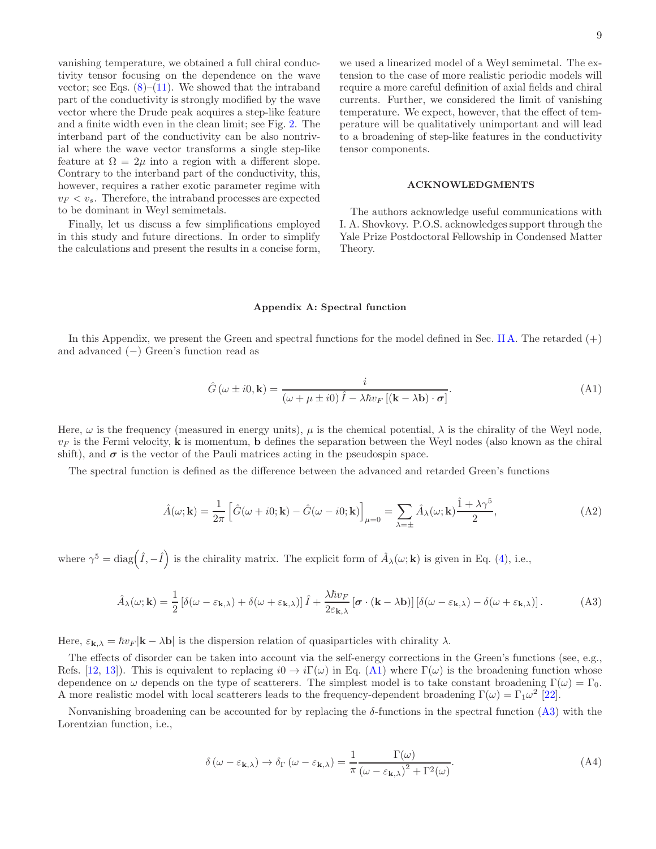vanishing temperature, we obtained a full chiral conductivity tensor focusing on the dependence on the wave vector; see Eqs.  $(8)$ – $(11)$ . We showed that the intraband part of the conductivity is strongly modified by the wave vector where the Drude peak acquires a step-like feature and a finite width even in the clean limit; see Fig. [2.](#page-5-2) The interband part of the conductivity can be also nontrivial where the wave vector transforms a single step-like feature at  $\Omega = 2\mu$  into a region with a different slope. Contrary to the interband part of the conductivity, this, however, requires a rather exotic parameter regime with  $v_F < v_s$ . Therefore, the intraband processes are expected to be dominant in Weyl semimetals.

Finally, let us discuss a few simplifications employed in this study and future directions. In order to simplify the calculations and present the results in a concise form,

we used a linearized model of a Weyl semimetal. The extension to the case of more realistic periodic models will require a more careful definition of axial fields and chiral currents. Further, we considered the limit of vanishing temperature. We expect, however, that the effect of temperature will be qualitatively unimportant and will lead to a broadening of step-like features in the conductivity tensor components.

### ACKNOWLEDGMENTS

The authors acknowledge useful communications with I. A. Shovkovy. P.O.S. acknowledges support through the Yale Prize Postdoctoral Fellowship in Condensed Matter Theory.

#### <span id="page-8-0"></span>Appendix A: Spectral function

In this Appendix, we present the Green and spectral functions for the model defined in Sec. [II A.](#page-1-5) The retarded  $(+)$ and advanced (−) Green's function read as

<span id="page-8-1"></span>
$$
\hat{G}(\omega \pm i0, \mathbf{k}) = \frac{i}{(\omega + \mu \pm i0)\hat{I} - \lambda \hbar v_F [(\mathbf{k} - \lambda \mathbf{b}) \cdot \boldsymbol{\sigma}]}.
$$
(A1)

Here,  $\omega$  is the frequency (measured in energy units),  $\mu$  is the chemical potential,  $\lambda$  is the chirality of the Weyl node,  $v_F$  is the Fermi velocity, **k** is momentum, **b** defines the separation between the Weyl nodes (also known as the chiral shift), and  $\sigma$  is the vector of the Pauli matrices acting in the pseudospin space.

The spectral function is defined as the difference between the advanced and retarded Green's functions

$$
\hat{A}(\omega; \mathbf{k}) = \frac{1}{2\pi} \left[ \hat{G}(\omega + i0; \mathbf{k}) - \hat{G}(\omega - i0; \mathbf{k}) \right]_{\mu=0} = \sum_{\lambda = \pm} \hat{A}_{\lambda}(\omega; \mathbf{k}) \frac{\hat{1} + \lambda \gamma^5}{2}, \tag{A2}
$$

where  $\gamma^5 = \text{diag}(\hat{I}, -\hat{I})$  is the chirality matrix. The explicit form of  $\hat{A}_{\lambda}(\omega; \mathbf{k})$  is given in Eq. [\(4\)](#page-1-3), i.e.,

<span id="page-8-2"></span>
$$
\hat{A}_{\lambda}(\omega; \mathbf{k}) = \frac{1}{2} \left[ \delta(\omega - \varepsilon_{\mathbf{k}, \lambda}) + \delta(\omega + \varepsilon_{\mathbf{k}, \lambda}) \right] \hat{I} + \frac{\lambda \hbar v_F}{2\varepsilon_{\mathbf{k}, \lambda}} \left[ \boldsymbol{\sigma} \cdot (\mathbf{k} - \lambda \mathbf{b}) \right] \left[ \delta(\omega - \varepsilon_{\mathbf{k}, \lambda}) - \delta(\omega + \varepsilon_{\mathbf{k}, \lambda}) \right]. \tag{A3}
$$

Here,  $\varepsilon_{\mathbf{k},\lambda} = \hbar v_F |\mathbf{k} - \lambda \mathbf{b}|$  is the dispersion relation of quasiparticles with chirality  $\lambda$ .

The effects of disorder can be taken into account via the self-energy corrections in the Green's functions (see, e.g., Refs. [\[12,](#page-14-6) [13](#page-14-15)]). This is equivalent to replacing  $i0 \to i\Gamma(\omega)$  in Eq. [\(A1\)](#page-8-1) where  $\Gamma(\omega)$  is the broadening function whose dependence on  $\omega$  depends on the type of scatterers. The simplest model is to take constant broadening  $\Gamma(\omega) = \Gamma_0$ . A more realistic model with local scatterers leads to the frequency-dependent broadening  $\Gamma(\omega) = \Gamma_1 \omega^2$  [\[22\]](#page-14-8).

Nonvanishing broadening can be accounted for by replacing the  $\delta$ -functions in the spectral function [\(A3\)](#page-8-2) with the Lorentzian function, i.e.,

$$
\delta(\omega - \varepsilon_{\mathbf{k},\lambda}) \to \delta_{\Gamma}(\omega - \varepsilon_{\mathbf{k},\lambda}) = \frac{1}{\pi} \frac{\Gamma(\omega)}{(\omega - \varepsilon_{\mathbf{k},\lambda})^2 + \Gamma^2(\omega)}.
$$
(A4)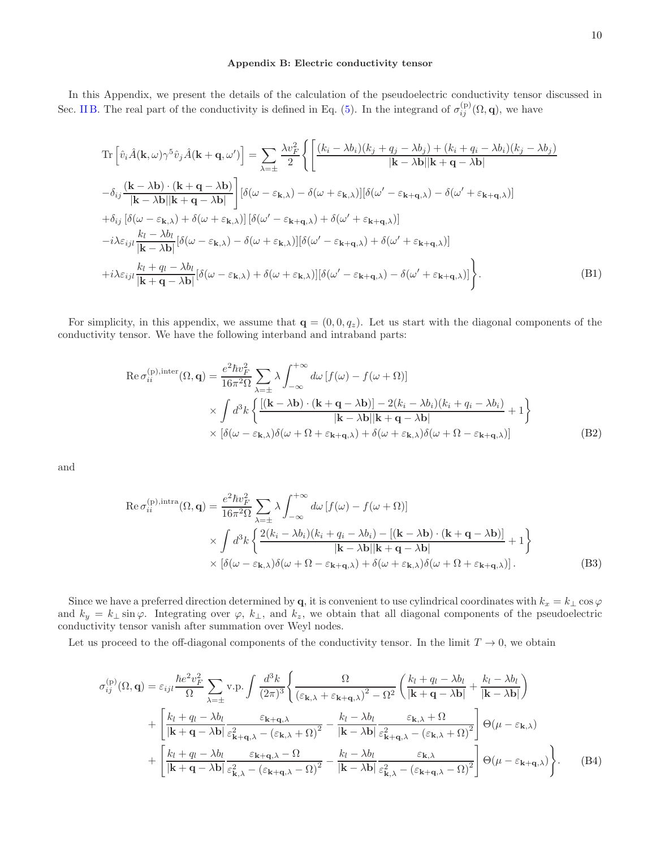### <span id="page-9-0"></span>Appendix B: Electric conductivity tensor

In this Appendix, we present the details of the calculation of the pseudoelectric conductivity tensor discussed in Sec. [II B.](#page-1-6) The real part of the conductivity is defined in Eq. [\(5\)](#page-2-1). In the integrand of  $\sigma_{ij}^{(p)}(\Omega, \mathbf{q})$ , we have

$$
\begin{split}\n&\text{Tr}\left[\hat{v}_{i}\hat{A}(\mathbf{k},\omega)\gamma^{5}\hat{v}_{j}\hat{A}(\mathbf{k}+\mathbf{q},\omega')\right] = \sum_{\lambda=\pm}\frac{\lambda v_{F}^{2}}{2}\left\{\left[\frac{(k_{i}-\lambda b_{i})(k_{j}+q_{j}-\lambda b_{j})+(k_{i}+q_{i}-\lambda b_{i})(k_{j}-\lambda b_{j})}{|\mathbf{k}-\lambda\mathbf{b}||\mathbf{k}+\mathbf{q}-\lambda\mathbf{b}|}\right.\right.\\
&\left. -\delta_{ij}\frac{(\mathbf{k}-\lambda\mathbf{b})\cdot(\mathbf{k}+\mathbf{q}-\lambda\mathbf{b})}{|\mathbf{k}-\lambda\mathbf{b}||\mathbf{k}+\mathbf{q}-\lambda\mathbf{b}|}\right]\left[\delta(\omega-\varepsilon_{\mathbf{k},\lambda})-\delta(\omega+\varepsilon_{\mathbf{k},\lambda})\right]\left[\delta(\omega'-\varepsilon_{\mathbf{k}+\mathbf{q},\lambda})-\delta(\omega'+\varepsilon_{\mathbf{k}+\mathbf{q},\lambda})\right] \\
&\left. +\delta_{ij}\left[\delta(\omega-\varepsilon_{\mathbf{k},\lambda})+\delta(\omega+\varepsilon_{\mathbf{k},\lambda})\right]\left[\delta(\omega'-\varepsilon_{\mathbf{k}+\mathbf{q},\lambda})+\delta(\omega'+\varepsilon_{\mathbf{k}+\mathbf{q},\lambda})\right]\right.\\
&\left. -i\lambda\varepsilon_{ijl}\frac{k_{l}-\lambda b_{l}}{|\mathbf{k}-\lambda\mathbf{b}|}\left[\delta(\omega-\varepsilon_{\mathbf{k},\lambda})-\delta(\omega+\varepsilon_{\mathbf{k},\lambda})\right]\left[\delta(\omega'-\varepsilon_{\mathbf{k}+\mathbf{q},\lambda})+\delta(\omega'+\varepsilon_{\mathbf{k}+\mathbf{q},\lambda})\right] \\
&\left. +i\lambda\varepsilon_{ijl}\frac{k_{l}+q_{l}-\lambda b_{l}}{|\mathbf{k}+\mathbf{q}-\lambda\mathbf{b}|}\left[\delta(\omega-\varepsilon_{\mathbf{k},\lambda})+\delta(\omega+\varepsilon_{\mathbf{k},\lambda})\right]\left[\delta(\omega'-\varepsilon_{\mathbf{k}+\mathbf{q},\lambda})-\delta(\omega'+\varepsilon_{\mathbf{k}+\mathbf{q},\lambda})\right]\right].\n\end{split} \tag{B1}
$$

For simplicity, in this appendix, we assume that  $\mathbf{q} = (0, 0, q_z)$ . Let us start with the diagonal components of the conductivity tensor. We have the following interband and intraband parts:

$$
\operatorname{Re}\sigma_{ii}^{(p),\text{inter}}(\Omega,\mathbf{q}) = \frac{e^2\hbar v_F^2}{16\pi^2\Omega} \sum_{\lambda=\pm} \lambda \int_{-\infty}^{+\infty} d\omega \left[f(\omega) - f(\omega + \Omega)\right] \times \int d^3k \left\{ \frac{\left[(\mathbf{k} - \lambda \mathbf{b}) \cdot (\mathbf{k} + \mathbf{q} - \lambda \mathbf{b})\right] - 2(k_i - \lambda b_i)(k_i + q_i - \lambda b_i)}{|\mathbf{k} - \lambda \mathbf{b}||\mathbf{k} + \mathbf{q} - \lambda \mathbf{b}|} + 1 \right\} \times \left[\delta(\omega - \varepsilon_{\mathbf{k},\lambda})\delta(\omega + \Omega + \varepsilon_{\mathbf{k} + \mathbf{q},\lambda}) + \delta(\omega + \varepsilon_{\mathbf{k},\lambda})\delta(\omega + \Omega - \varepsilon_{\mathbf{k} + \mathbf{q},\lambda})\right]
$$
(B2)

and

$$
\operatorname{Re}\sigma_{ii}^{(p),\text{intra}}(\Omega,\mathbf{q}) = \frac{e^2\hbar v_F^2}{16\pi^2\Omega} \sum_{\lambda=\pm} \lambda \int_{-\infty}^{+\infty} d\omega \left[f(\omega) - f(\omega + \Omega)\right] \times \int d^3k \left\{ \frac{2(k_i - \lambda b_i)(k_i + q_i - \lambda b_i) - \left[(\mathbf{k} - \lambda \mathbf{b}) \cdot (\mathbf{k} + \mathbf{q} - \lambda \mathbf{b})\right]}{|\mathbf{k} - \lambda \mathbf{b}||\mathbf{k} + \mathbf{q} - \lambda \mathbf{b}|} + 1 \right\} \times \left[\delta(\omega - \varepsilon_{\mathbf{k},\lambda})\delta(\omega + \Omega - \varepsilon_{\mathbf{k} + \mathbf{q},\lambda}) + \delta(\omega + \varepsilon_{\mathbf{k},\lambda})\delta(\omega + \Omega + \varepsilon_{\mathbf{k} + \mathbf{q},\lambda})\right].
$$
\n(B3)

Since we have a preferred direction determined by q, it is convenient to use cylindrical coordinates with  $k_x = k_\perp \cos \varphi$ and  $k_y = k_\perp \sin \varphi$ . Integrating over  $\varphi$ ,  $k_\perp$ , and  $k_z$ , we obtain that all diagonal components of the pseudoelectric conductivity tensor vanish after summation over Weyl nodes.

Let us proceed to the off-diagonal components of the conductivity tensor. In the limit  $T \to 0$ , we obtain

$$
\sigma_{ij}^{(p)}(\Omega, \mathbf{q}) = \varepsilon_{ijl} \frac{\hbar e^2 v_F^2}{\Omega} \sum_{\lambda = \pm} v.p. \int \frac{d^3 k}{(2\pi)^3} \left\{ \frac{\Omega}{(\varepsilon_{\mathbf{k}, \lambda} + \varepsilon_{\mathbf{k} + \mathbf{q}, \lambda})^2 - \Omega^2} \left( \frac{k_l + q_l - \lambda b_l}{|\mathbf{k} + \mathbf{q} - \lambda \mathbf{b}|} + \frac{k_l - \lambda b_l}{|\mathbf{k} - \lambda \mathbf{b}|} \right) \right\}
$$

$$
+ \left[ \frac{k_l + q_l - \lambda b_l}{|\mathbf{k} + \mathbf{q} - \lambda \mathbf{b}|} \frac{\varepsilon_{\mathbf{k} + \mathbf{q}, \lambda}}{\varepsilon_{\mathbf{k} + \mathbf{q}, \lambda}^2 - (\varepsilon_{\mathbf{k}, \lambda} + \Omega)^2} - \frac{k_l - \lambda b_l}{|\mathbf{k} - \lambda \mathbf{b}|} \frac{\varepsilon_{\mathbf{k}, \lambda} + \Omega}{\varepsilon_{\mathbf{k} + \mathbf{q}, \lambda}^2 - (\varepsilon_{\mathbf{k}, \lambda} + \Omega)^2} \right] \Theta(\mu - \varepsilon_{\mathbf{k}, \lambda})
$$

$$
+ \left[ \frac{k_l + q_l - \lambda b_l}{|\mathbf{k} + \mathbf{q} - \lambda \mathbf{b}|} \frac{\varepsilon_{\mathbf{k} + \mathbf{q}, \lambda} - \Omega}{\varepsilon_{\mathbf{k}, \lambda} - \Omega^2} - \frac{k_l - \lambda b_l}{|\mathbf{k} - \lambda \mathbf{b}|} \frac{\varepsilon_{\mathbf{k}, \lambda}}{\varepsilon_{\mathbf{k}, \lambda}^2 - (\varepsilon_{\mathbf{k} + \mathbf{q}, \lambda} - \Omega)^2} \right] \Theta(\mu - \varepsilon_{\mathbf{k} + \mathbf{q}, \lambda}) \right\}.
$$
(B4)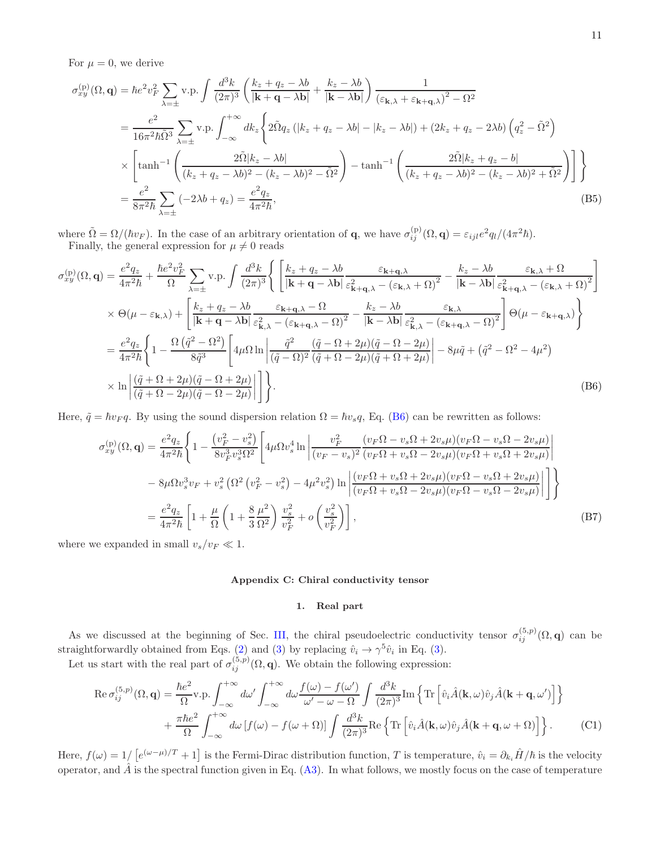For  $\mu = 0$ , we derive

$$
\sigma_{xy}^{(p)}(\Omega, \mathbf{q}) = \hbar e^2 v_F^2 \sum_{\lambda = \pm} v.p. \int \frac{d^3 k}{(2\pi)^3} \left( \frac{k_z + q_z - \lambda b}{|\mathbf{k} + \mathbf{q} - \lambda \mathbf{b}|} + \frac{k_z - \lambda b}{|\mathbf{k} - \lambda \mathbf{b}|} \right) \frac{1}{(\varepsilon_{\mathbf{k}, \lambda} + \varepsilon_{\mathbf{k} + \mathbf{q}, \lambda})^2 - \Omega^2}
$$
  
\n
$$
= \frac{e^2}{16\pi^2 \hbar \tilde{\Omega}^3} \sum_{\lambda = \pm} v.p. \int_{-\infty}^{+\infty} dk_z \left\{ 2\tilde{\Omega} q_z \left( |k_z + q_z - \lambda b| - |k_z - \lambda b| \right) + (2k_z + q_z - 2\lambda b) \left( q_z^2 - \tilde{\Omega}^2 \right) \right\}
$$
  
\n
$$
\times \left[ \tanh^{-1} \left( \frac{2\tilde{\Omega} |k_z - \lambda b|}{(k_z + q_z - \lambda b)^2 - (k_z - \lambda b)^2 - \tilde{\Omega}^2} \right) - \tanh^{-1} \left( \frac{2\tilde{\Omega} |k_z + q_z - b|}{(k_z + q_z - \lambda b)^2 - (k_z - \lambda b)^2 + \tilde{\Omega}^2} \right) \right] \right\}
$$
  
\n
$$
= \frac{e^2}{8\pi^2 \hbar} \sum_{\lambda = \pm} (-2\lambda b + q_z) = \frac{e^2 q_z}{4\pi^2 \hbar}, \tag{B5}
$$

where  $\tilde{\Omega} = \Omega/(\hbar v_F)$ . In the case of an arbitrary orientation of **q**, we have  $\sigma_{ij}^{(p)}(\Omega, \mathbf{q}) = \varepsilon_{ijl} e^2 q_l/(4\pi^2 \hbar)$ . Finally, the general expression for  $\mu \neq 0$  reads

<span id="page-10-2"></span>
$$
\sigma_{xy}^{(p)}(\Omega, \mathbf{q}) = \frac{e^2 q_z}{4\pi^2 \hbar} + \frac{\hbar e^2 v_F^2}{\Omega} \sum_{\lambda=\pm} v.p. \int \frac{d^3 k}{(2\pi)^3} \Bigg\{ \Bigg[ \frac{k_z + q_z - \lambda b}{|\mathbf{k} + \mathbf{q} - \lambda \mathbf{b}|} \frac{\varepsilon_{\mathbf{k} + \mathbf{q}, \lambda}}{\varepsilon_{\mathbf{k} + \mathbf{q}, \lambda}^2 - (\varepsilon_{\mathbf{k}, \lambda} + \Omega)^2} - \frac{k_z - \lambda b}{|\mathbf{k} - \lambda \mathbf{b}|} \frac{\varepsilon_{\mathbf{k}, \lambda} + \Omega}{\varepsilon_{\mathbf{k} + \mathbf{q}, \lambda}^2 - (\varepsilon_{\mathbf{k}, \lambda} + \Omega)^2} \Bigg]
$$
  
\n
$$
\times \Theta(\mu - \varepsilon_{\mathbf{k}, \lambda}) + \Bigg[ \frac{k_z + q_z - \lambda b}{|\mathbf{k} + \mathbf{q} - \lambda \mathbf{b}|} \frac{\varepsilon_{\mathbf{k} + \mathbf{q}, \lambda} - \Omega}{\varepsilon_{\mathbf{k}, \lambda}^2 - (\varepsilon_{\mathbf{k} + \mathbf{q}, \lambda} - \Omega)^2} - \frac{k_z - \lambda b}{|\mathbf{k} - \lambda \mathbf{b}|} \frac{\varepsilon_{\mathbf{k}, \lambda}}{\varepsilon_{\mathbf{k}, \lambda}^2 - (\varepsilon_{\mathbf{k} + \mathbf{q}, \lambda} - \Omega)^2} \Bigg] \Theta(\mu - \varepsilon_{\mathbf{k} + \mathbf{q}, \lambda}) \Bigg\}
$$
  
\n
$$
= \frac{e^2 q_z}{4\pi^2 \hbar} \Bigg\{ 1 - \frac{\Omega(\tilde{q}^2 - \Omega^2)}{8\tilde{q}^3} \Bigg[ 4\mu \Omega \ln \left| \frac{\tilde{q}^2}{(\tilde{q} - \Omega)^2} \frac{(\tilde{q} - \Omega + 2\mu)(\tilde{q} - \Omega - 2\mu)}{(\tilde{q} + \Omega - 2\mu)(\tilde{q} + \Omega + 2\mu)} \right| - 8\mu \tilde{q} + (\tilde{q}^2 - \Omega^2 - 4\mu^2) \Bigg]
$$
  
\n
$$
\times \ln \Bigg| \
$$

Here,  $\tilde{q} = \hbar v_F q$ . By using the sound dispersion relation  $\Omega = \hbar v_s q$ , Eq. [\(B6\)](#page-10-2) can be rewritten as follows:

$$
\sigma_{xy}^{(p)}(\Omega, \mathbf{q}) = \frac{e^2 q_z}{4\pi^2 \hbar} \left\{ 1 - \frac{\left(v_F^2 - v_s^2\right)}{8v_F^3 v_s^3 \Omega^2} \left[ 4\mu \Omega v_s^4 \ln \left| \frac{v_F^2}{\left(v_F - v_s\right)^2} \frac{\left(v_F \Omega - v_s \Omega + 2v_s \mu\right) \left(v_F \Omega - v_s \Omega - 2v_s \mu\right)}{\left(v_F \Omega + v_s \Omega - 2v_s \mu\right) \left(v_F \Omega + v_s \Omega + 2v_s \mu\right)} \right| \right\}
$$

$$
- 8\mu \Omega v_s^3 v_F + v_s^2 \left( \Omega^2 \left(v_F^2 - v_s^2\right) - 4\mu^2 v_s^2 \right) \ln \left| \frac{\left(v_F \Omega + v_s \Omega + 2v_s \mu\right) \left(v_F \Omega - v_s \Omega + 2v_s \mu\right)}{\left(v_F \Omega + v_s \Omega - 2v_s \mu\right) \left(v_F \Omega - v_s \Omega - 2v_s \mu\right)} \right| \right\}
$$

$$
= \frac{e^2 q_z}{4\pi^2 \hbar} \left[ 1 + \frac{\mu}{\Omega} \left( 1 + \frac{8}{3} \frac{\mu^2}{\Omega^2} \right) \frac{v_s^2}{v_F^2} + o\left(\frac{v_s^2}{v_F^2}\right) \right],\tag{B7}
$$

where we expanded in small  $v_s/v_F \ll 1$ .

#### <span id="page-10-0"></span>Appendix C: Chiral conductivity tensor

# <span id="page-10-1"></span>1. Real part

As we discussed at the beginning of Sec. [III,](#page-2-0) the chiral pseudoelectric conductivity tensor  $\sigma_{ij}^{(5,p)}(\Omega,\mathbf{q})$  can be straightforwardly obtained from Eqs. [\(2\)](#page-1-2) and [\(3\)](#page-1-4) by replacing  $\hat{v}_i \to \gamma^5 \hat{v}_i$  in Eq. (3).

Let us start with the real part of  $\sigma_{ij}^{(5,p)}(\Omega, \mathbf{q})$ . We obtain the following expression:

$$
\operatorname{Re}\sigma_{ij}^{(5,p)}(\Omega,\mathbf{q}) = \frac{\hbar e^2}{\Omega}\operatorname{v.p.}\int_{-\infty}^{+\infty} d\omega' \int_{-\infty}^{+\infty} d\omega \frac{f(\omega) - f(\omega')}{\omega' - \omega - \Omega} \int \frac{d^3k}{(2\pi)^3} \operatorname{Im}\left\{\operatorname{Tr}\left[\hat{v}_i \hat{A}(\mathbf{k},\omega)\hat{v}_j \hat{A}(\mathbf{k} + \mathbf{q},\omega')\right]\right\} + \frac{\pi\hbar e^2}{\Omega} \int_{-\infty}^{+\infty} d\omega \left[f(\omega) - f(\omega + \Omega)\right] \int \frac{d^3k}{(2\pi)^3} \operatorname{Re}\left\{\operatorname{Tr}\left[\hat{v}_i \hat{A}(\mathbf{k},\omega)\hat{v}_j \hat{A}(\mathbf{k} + \mathbf{q},\omega + \Omega)\right]\right\}.
$$
 (C1)

Here,  $f(\omega) = 1/\left[e^{(\omega-\mu)/T} + 1\right]$  is the Fermi-Dirac distribution function, T is temperature,  $\hat{v}_i = \partial_{k_i} \hat{H}/\hbar$  is the velocity operator, and  $\hat{A}$  is the spectral function given in Eq. [\(A3\)](#page-8-2). In what follows, we mostly focus on the case of temperature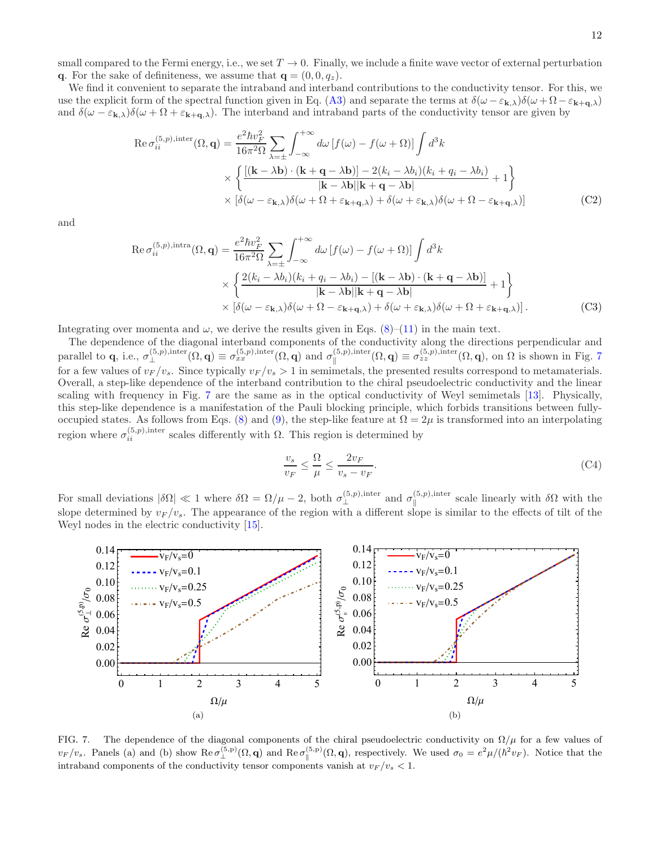small compared to the Fermi energy, i.e., we set  $T \to 0$ . Finally, we include a finite wave vector of external perturbation q. For the sake of definiteness, we assume that  $q = (0, 0, q_z)$ .

We find it convenient to separate the intraband and interband contributions to the conductivity tensor. For this, we use the explicit form of the spectral function given in Eq. [\(A3\)](#page-8-2) and separate the terms at  $\delta(\omega - \varepsilon_{\mathbf{k},\lambda})\delta(\omega + \Omega - \varepsilon_{\mathbf{k}+\mathbf{q},\lambda})$ and  $\delta(\omega - \varepsilon_{\mathbf{k},\lambda})\delta(\omega + \Omega + \varepsilon_{\mathbf{k}+\mathbf{q},\lambda})$ . The interband and intraband parts of the conductivity tensor are given by

$$
\operatorname{Re}\sigma_{ii}^{(5,p),\text{inter}}(\Omega,\mathbf{q}) = \frac{e^2\hbar v_F^2}{16\pi^2\Omega} \sum_{\lambda=\pm} \int_{-\infty}^{+\infty} d\omega \left[f(\omega) - f(\omega + \Omega)\right] \int d^3k
$$

$$
\times \left\{ \frac{\left[\left(\mathbf{k} - \lambda \mathbf{b}\right) \cdot \left(\mathbf{k} + \mathbf{q} - \lambda \mathbf{b}\right)\right] - 2\left(k_i - \lambda b_i\right)\left(k_i + q_i - \lambda b_i\right)}{|\mathbf{k} - \lambda \mathbf{b}||\mathbf{k} + \mathbf{q} - \lambda \mathbf{b}|} + 1 \right\}
$$

$$
\times \left[ \delta(\omega - \varepsilon_{\mathbf{k},\lambda})\delta(\omega + \Omega + \varepsilon_{\mathbf{k} + \mathbf{q},\lambda}) + \delta(\omega + \varepsilon_{\mathbf{k},\lambda})\delta(\omega + \Omega - \varepsilon_{\mathbf{k} + \mathbf{q},\lambda}) \right]
$$
(C2)

and

$$
\operatorname{Re}\sigma_{ii}^{(5,p),\text{intra}}(\Omega,\mathbf{q}) = \frac{e^2\hbar v_F^2}{16\pi^2\Omega} \sum_{\lambda=\pm} \int_{-\infty}^{+\infty} d\omega \left[f(\omega) - f(\omega+\Omega)\right] \int d^3k
$$

$$
\times \left\{ \frac{2(k_i - \lambda b_i)(k_i + q_i - \lambda b_i) - \left[(\mathbf{k} - \lambda \mathbf{b}) \cdot (\mathbf{k} + \mathbf{q} - \lambda \mathbf{b})\right]}{|\mathbf{k} - \lambda \mathbf{b}| |\mathbf{k} + \mathbf{q} - \lambda \mathbf{b}|} + 1 \right\}
$$

$$
\times \left[ \delta(\omega - \varepsilon_{\mathbf{k},\lambda}) \delta(\omega+\Omega-\varepsilon_{\mathbf{k}+\mathbf{q},\lambda}) + \delta(\omega+\varepsilon_{\mathbf{k},\lambda}) \delta(\omega+\Omega+\varepsilon_{\mathbf{k}+\mathbf{q},\lambda}) \right].
$$
 (C3)

Integrating over momenta and  $\omega$ , we derive the results given in Eqs. [\(8\)](#page-3-2)–[\(11\)](#page-4-1) in the main text.

The dependence of the diagonal interband components of the conductivity along the directions perpendicular and parallel to **q**, i.e.,  $\sigma_{\perp}^{(5,p),\text{inter}}(\Omega, \mathbf{q}) \equiv \sigma_{xx}^{(5,p),\text{inter}}(\Omega, \mathbf{q})$  and  $\sigma_{\parallel}^{(5,p),\text{inter}}$  $\mathcal{L}^{(5,p),\text{inter}}_{\parallel}(\Omega,\mathbf{q}) \equiv \sigma_{zz}^{(5,p),\text{inter}}(\Omega,\mathbf{q}), \text{ on } \Omega \text{ is shown in Fig. 7}$  $\mathcal{L}^{(5,p),\text{inter}}_{\parallel}(\Omega,\mathbf{q}) \equiv \sigma_{zz}^{(5,p),\text{inter}}(\Omega,\mathbf{q}), \text{ on } \Omega \text{ is shown in Fig. 7}$  $\mathcal{L}^{(5,p),\text{inter}}_{\parallel}(\Omega,\mathbf{q}) \equiv \sigma_{zz}^{(5,p),\text{inter}}(\Omega,\mathbf{q}), \text{ on } \Omega \text{ is shown in Fig. 7}$ for a few values of  $v_F/v_s$ . Since typically  $v_F/v_s > 1$  in semimetals, the presented results correspond to metamaterials. Overall, a step-like dependence of the interband contribution to the chiral pseudoelectric conductivity and the linear scaling with frequency in Fig. [7](#page-11-0) are the same as in the optical conductivity of Weyl semimetals [\[13\]](#page-14-15). Physically, this step-like dependence is a manifestation of the Pauli blocking principle, which forbids transitions between fully-occupied states. As follows from Eqs. [\(8\)](#page-3-2) and [\(9\)](#page-3-3), the step-like feature at  $\Omega = 2\mu$  is transformed into an interpolating region where  $\sigma_{ii}^{(5,p),\text{inter}}$  scales differently with Ω. This region is determined by

$$
\frac{v_s}{v_F} \le \frac{\Omega}{\mu} \le \frac{2v_F}{v_s - v_F}.\tag{C4}
$$

For small deviations  $|\delta\Omega| \ll 1$  where  $\delta\Omega = \Omega/\mu - 2$ , both  $\sigma_{\perp}^{(5,p),\text{inter}}$  and  $\sigma_{\parallel}^{(5,p),\text{inter}}$  $\int_{\parallel}^{(3,p),\text{inter}}$  scale linearly with  $\delta\Omega$  with the slope determined by  $v_F/v_s$ . The appearance of the region with a different slope is similar to the effects of tilt of the Weyl nodes in the electric conductivity [\[15](#page-14-16)].



<span id="page-11-0"></span>FIG. 7. The dependence of the diagonal components of the chiral pseudoelectric conductivity on  $\Omega/\mu$  for a few values of  $v_F/v_s$ . Panels (a) and (b) show  $\text{Re}\,\sigma_{\perp}^{(5,\text{p})}(\Omega,\mathbf{q})$  and  $\text{Re}\,\sigma_{\parallel}^{(5,\text{p})}(\Omega,\mathbf{q})$ , respectively. We used  $\sigma_0 = e^2\mu/(\hbar^2 v_F)$ . Notice that the intraband components of the conductivity tensor components vanish at  $v_F/v_s < 1$ .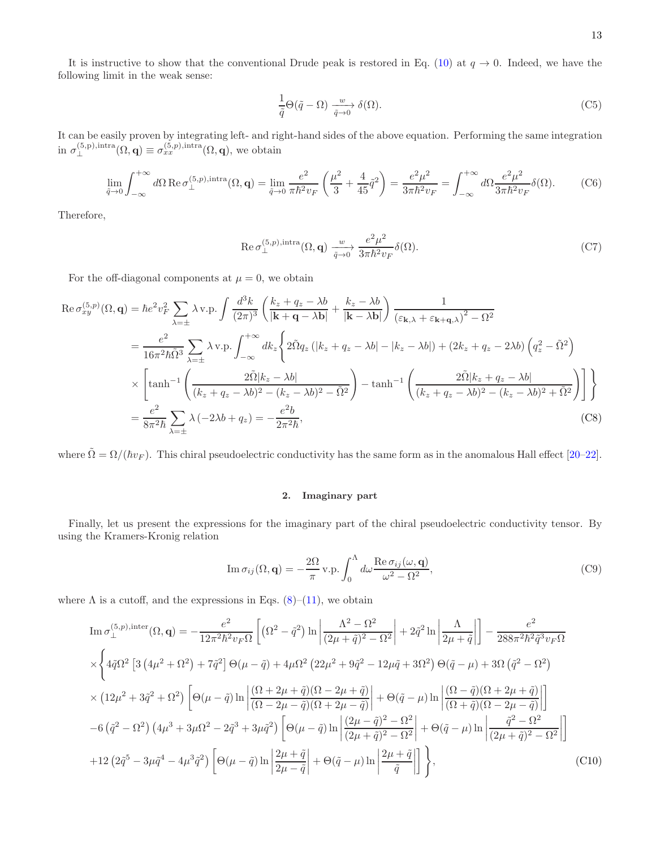It is instructive to show that the conventional Drude peak is restored in Eq. [\(10\)](#page-4-0) at  $q \to 0$ . Indeed, we have the following limit in the weak sense:

$$
\frac{1}{\tilde{q}}\Theta(\tilde{q}-\Omega)\xrightarrow[\tilde{q}\to 0]{w}\delta(\Omega).
$$
\n(C5)

It can be easily proven by integrating left- and right-hand sides of the above equation. Performing the same integration in  $\sigma_{\perp}^{(5,p),\text{intra}}(\Omega, \mathbf{q}) \equiv \sigma_{xx}^{(5,p),\text{intra}}(\Omega, \mathbf{q})$ , we obtain

$$
\lim_{\tilde{q}\to 0} \int_{-\infty}^{+\infty} d\Omega \operatorname{Re} \sigma_{\perp}^{(5,p), \text{intra}}(\Omega, \mathbf{q}) = \lim_{\tilde{q}\to 0} \frac{e^2}{\pi \hbar^2 v_F} \left(\frac{\mu^2}{3} + \frac{4}{45} \tilde{q}^2\right) = \frac{e^2 \mu^2}{3\pi \hbar^2 v_F} = \int_{-\infty}^{+\infty} d\Omega \frac{e^2 \mu^2}{3\pi \hbar^2 v_F} \delta(\Omega). \tag{C6}
$$

Therefore,

$$
\operatorname{Re}\sigma_{\perp}^{(5,p),\text{intra}}(\Omega,\mathbf{q}) \xrightarrow[\tilde{q}\to 0]{} \frac{e^2\mu^2}{3\pi\hbar^2 v_F} \delta(\Omega). \tag{C7}
$$

For the off-diagonal components at  $\mu = 0$ , we obtain

$$
\operatorname{Re}\sigma_{xy}^{(5,p)}(\Omega,\mathbf{q}) = \hbar e^2 v_F^2 \sum_{\lambda=\pm} \lambda \operatorname{v.p.} \int \frac{d^3k}{(2\pi)^3} \left( \frac{k_z + q_z - \lambda b}{|\mathbf{k} + \mathbf{q} - \lambda \mathbf{b}|} + \frac{k_z - \lambda b}{|\mathbf{k} - \lambda \mathbf{b}|} \right) \frac{1}{(\varepsilon_{\mathbf{k},\lambda} + \varepsilon_{\mathbf{k} + \mathbf{q},\lambda})^2 - \Omega^2}
$$
  
\n
$$
= \frac{e^2}{16\pi^2 \hbar \tilde{\Omega}^3} \sum_{\lambda=\pm} \lambda \operatorname{v.p.} \int_{-\infty}^{+\infty} dk_z \left\{ 2\tilde{\Omega} q_z \left( |k_z + q_z - \lambda b| - |k_z - \lambda b| \right) + (2k_z + q_z - 2\lambda b) \left( q_z^2 - \tilde{\Omega}^2 \right) \right\}
$$
  
\n
$$
\times \left[ \tanh^{-1} \left( \frac{2\tilde{\Omega} |k_z - \lambda b|}{(k_z + q_z - \lambda b)^2 - (k_z - \lambda b)^2 - \tilde{\Omega}^2} \right) - \tanh^{-1} \left( \frac{2\tilde{\Omega} |k_z + q_z - \lambda b|}{(k_z + q_z - \lambda b)^2 - (k_z - \lambda b)^2 + \tilde{\Omega}^2} \right) \right] \right\}
$$
  
\n
$$
= \frac{e^2}{8\pi^2 \hbar} \sum_{\lambda=\pm} \lambda \left( -2\lambda b + q_z \right) = -\frac{e^2 b}{2\pi^2 \hbar}, \tag{C8}
$$

where  $\tilde{\Omega} = \Omega/(\hbar v_F)$ . This chiral pseudoelectric conductivity has the same form as in the anomalous Hall effect [\[20](#page-14-7)[–22\]](#page-14-8).

# <span id="page-12-0"></span>2. Imaginary part

Finally, let us present the expressions for the imaginary part of the chiral pseudoelectric conductivity tensor. By using the Kramers-Kronig relation

$$
\operatorname{Im} \sigma_{ij}(\Omega, \mathbf{q}) = -\frac{2\Omega}{\pi} \operatorname{v.p.} \int_0^{\Lambda} d\omega \frac{\operatorname{Re} \sigma_{ij}(\omega, \mathbf{q})}{\omega^2 - \Omega^2},\tag{C9}
$$

where  $\Lambda$  is a cutoff, and the expressions in Eqs. [\(8\)](#page-3-2)–[\(11\)](#page-4-1), we obtain

<span id="page-12-1"></span>
$$
\operatorname{Im}\sigma_{\perp}^{(5,p),\text{inter}}(\Omega,\mathbf{q}) = -\frac{e^2}{12\pi^2\hbar^2v_F\Omega} \left[ \left( \Omega^2 - \tilde{q}^2 \right) \ln \left| \frac{\Lambda^2 - \Omega^2}{(2\mu + \tilde{q})^2 - \Omega^2} \right| + 2\tilde{q}^2 \ln \left| \frac{\Lambda}{2\mu + \tilde{q}} \right| \right] - \frac{e^2}{288\pi^2\hbar^2\tilde{q}^3v_F\Omega}
$$
  
\n
$$
\times \left\{ 4\tilde{q}\Omega^2 \left[ 3 \left( 4\mu^2 + \Omega^2 \right) + 7\tilde{q}^2 \right] \Theta(\mu - \tilde{q}) + 4\mu\Omega^2 \left( 22\mu^2 + 9\tilde{q}^2 - 12\mu\tilde{q} + 3\Omega^2 \right) \Theta(\tilde{q} - \mu) + 3\Omega \left( \tilde{q}^2 - \Omega^2 \right) \right.
$$
  
\n
$$
\times \left( 12\mu^2 + 3\tilde{q}^2 + \Omega^2 \right) \left[ \Theta(\mu - \tilde{q}) \ln \left| \frac{(\Omega + 2\mu + \tilde{q})(\Omega - 2\mu + \tilde{q})}{(\Omega - 2\mu - \tilde{q})(\Omega + 2\mu - \tilde{q})} \right| + \Theta(\tilde{q} - \mu) \ln \left| \frac{(\Omega - \tilde{q})(\Omega + 2\mu + \tilde{q})}{(\Omega + \tilde{q})(\Omega - 2\mu - \tilde{q})} \right| \right]
$$
  
\n
$$
-6 \left( \tilde{q}^2 - \Omega^2 \right) \left( 4\mu^3 + 3\mu\Omega^2 - 2\tilde{q}^3 + 3\mu\tilde{q}^2 \right) \left[ \Theta(\mu - \tilde{q}) \ln \left| \frac{(2\mu - \tilde{q})^2 - \Omega^2}{(2\mu + \tilde{q})^2 - \Omega^2} \right| + \Theta(\tilde{q} - \mu) \ln \left| \frac{\tilde{q}^2 - \Omega^2}{(2\mu + \tilde{q})^2 - \Omega^2} \right| \right]
$$
  
\n
$$
+
$$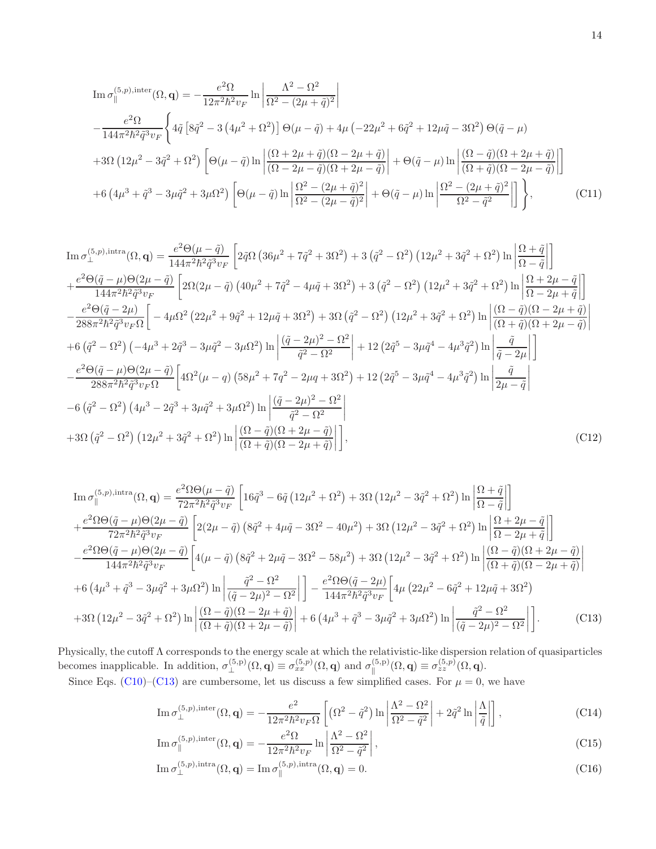$$
\text{Im}\,\sigma_{\parallel}^{(5,p),\text{inter}}(\Omega,\mathbf{q}) = -\frac{e^2 \Omega}{12\pi^2 \hbar^2 v_F} \ln \left| \frac{\Lambda^2 - \Omega^2}{\Omega^2 - (2\mu + \tilde{q})^2} \right| \n- \frac{e^2 \Omega}{144\pi^2 \hbar^2 \tilde{q}^3 v_F} \left\{ 4\tilde{q} \left[ 8\tilde{q}^2 - 3 \left( 4\mu^2 + \Omega^2 \right) \right] \Theta(\mu - \tilde{q}) + 4\mu \left( -22\mu^2 + 6\tilde{q}^2 + 12\mu\tilde{q} - 3\Omega^2 \right) \Theta(\tilde{q} - \mu) \n+ 3\Omega \left( 12\mu^2 - 3\tilde{q}^2 + \Omega^2 \right) \left[ \Theta(\mu - \tilde{q}) \ln \left| \frac{(\Omega + 2\mu + \tilde{q})(\Omega - 2\mu + \tilde{q})}{(\Omega - 2\mu - \tilde{q})(\Omega + 2\mu - \tilde{q})} \right| + \Theta(\tilde{q} - \mu) \ln \left| \frac{(\Omega - \tilde{q})(\Omega + 2\mu + \tilde{q})}{(\Omega + \tilde{q})(\Omega - 2\mu - \tilde{q})} \right| \right] \n+ 6 \left( 4\mu^3 + \tilde{q}^3 - 3\mu\tilde{q}^2 + 3\mu\Omega^2 \right) \left[ \Theta(\mu - \tilde{q}) \ln \left| \frac{\Omega^2 - (2\mu + \tilde{q})^2}{\Omega^2 - (2\mu - \tilde{q})^2} \right| + \Theta(\tilde{q} - \mu) \ln \left| \frac{\Omega^2 - (2\mu + \tilde{q})^2}{\Omega^2 - \tilde{q}^2} \right| \right] \right\}, \qquad (C11)
$$

$$
\begin{split} &\text{Im}\,\sigma_{\perp}^{(5,p),\text{intra}}(\Omega,\mathbf{q}) = \frac{e^{2}\Theta(\mu-\tilde{q})}{144\pi^{2}\hbar^{2}\tilde{q}^{3}v_{F}}\left[2\tilde{q}\Omega\left(36\mu^{2}+7\tilde{q}^{2}+3\Omega^{2}\right)+3\left(\tilde{q}^{2}-\Omega^{2}\right)\left(12\mu^{2}+3\tilde{q}^{2}+\Omega^{2}\right)\ln\left|\frac{\Omega+\tilde{q}}{\Omega-\tilde{q}}\right|\right] \\ &+\frac{e^{2}\Theta(\tilde{q}-\mu)\Theta(2\mu-\tilde{q})}{144\pi^{2}\hbar^{2}\tilde{q}^{3}v_{F}}\left[2\Omega(2\mu-\tilde{q})\left(40\mu^{2}+7\tilde{q}^{2}-4\mu\tilde{q}+3\Omega^{2}\right)+3\left(\tilde{q}^{2}-\Omega^{2}\right)\left(12\mu^{2}+3\tilde{q}^{2}+\Omega^{2}\right)\ln\left|\frac{\Omega+2\mu-\tilde{q}}{\Omega-2\mu+\tilde{q}}\right|\right] \\ &-\frac{e^{2}\Theta(\tilde{q}-2\mu)}{288\pi^{2}\hbar^{2}\tilde{q}^{3}v_{F}\Omega}\left[-4\mu\Omega^{2}\left(22\mu^{2}+9\tilde{q}^{2}+12\mu\tilde{q}+3\Omega^{2}\right)+3\Omega\left(\tilde{q}^{2}-\Omega^{2}\right)\left(12\mu^{2}+3\tilde{q}^{2}+\Omega^{2}\right)\ln\left|\frac{\left(\Omega-\tilde{q}\right)(\Omega-2\mu+\tilde{q})}{\left(\Omega+\tilde{q}\right)(\Omega+2\mu-\tilde{q})}\right| \\ &+6\left(\tilde{q}^{2}-\Omega^{2}\right)\left(-4\mu^{3}+2\tilde{q}^{3}-3\mu\tilde{q}^{2}-3\mu\Omega^{2}\right)\ln\left|\frac{\left(\tilde{q}-2\mu\right)^{2}-\Omega^{2}}{\tilde{q}^{2}-\Omega^{2}}\right|+12\left(2\tilde{q}^{5}-3\mu\tilde{q}^{4}-4\mu^{3}\tilde{q}^{2}\right)\ln\left|\frac{\tilde{q}}{\tilde{q}-2\mu}\right
$$

<span id="page-13-0"></span>
$$
\text{Im}\,\sigma_{\parallel}^{(5,p),\text{intra}}(\Omega,\mathbf{q}) = \frac{e^{2}\Omega\Theta(\mu-\tilde{q})}{72\pi^{2}\hbar^{2}\tilde{q}^{3}v_{F}}\left[16\tilde{q}^{3}-6\tilde{q}\left(12\mu^{2}+\Omega^{2}\right)+3\Omega\left(12\mu^{2}-3\tilde{q}^{2}+\Omega^{2}\right)\ln\left|\frac{\Omega+\tilde{q}}{\Omega-\tilde{q}}\right|\right] \n+\frac{e^{2}\Omega\Theta(\tilde{q}-\mu)\Theta(2\mu-\tilde{q})}{72\pi^{2}\hbar^{2}\tilde{q}^{3}v_{F}}\left[2(2\mu-\tilde{q})\left(8\tilde{q}^{2}+4\mu\tilde{q}-3\Omega^{2}-40\mu^{2}\right)+3\Omega\left(12\mu^{2}-3\tilde{q}^{2}+\Omega^{2}\right)\ln\left|\frac{\Omega+2\mu-\tilde{q}}{\Omega-2\mu+\tilde{q}}\right|\right] \n-\frac{e^{2}\Omega\Theta(\tilde{q}-\mu)\Theta(2\mu-\tilde{q})}{144\pi^{2}\hbar^{2}\tilde{q}^{3}v_{F}}\left[4(\mu-\tilde{q})\left(8\tilde{q}^{2}+2\mu\tilde{q}-3\Omega^{2}-58\mu^{2}\right)+3\Omega\left(12\mu^{2}-3\tilde{q}^{2}+\Omega^{2}\right)\ln\left|\frac{(\Omega-\tilde{q})(\Omega+2\mu-\tilde{q})}{(\Omega+\tilde{q})(\Omega-2\mu+\tilde{q})}\right|\right] \n+6\left(4\mu^{3}+\tilde{q}^{3}-3\mu\tilde{q}^{2}+3\mu\Omega^{2}\right)\ln\left|\frac{\tilde{q}^{2}-\Omega^{2}}{(\tilde{q}-2\mu)^{2}-\Omega^{2}}\right|\right]-\frac{e^{2}\Omega\Theta(\tilde{q}-2\mu)}{144\pi^{2}\hbar^{2}\tilde{q}^{3}v_{F}}\left[4\mu\left(22\mu^{2}-6\tilde{q}^{2}+12\mu\tilde{q}+3\Omega^{2}\right) \n+3\Omega\left(12\mu^{2}-3\tilde{q}^{2}+\Omega^{2}\right)\ln\left|\frac{(\Omega-\
$$

Physically, the cutoff Λ corresponds to the energy scale at which the relativistic-like dispersion relation of quasiparticles becomes inapplicable. In addition,  $\sigma_{\perp}^{(5,p)}(\Omega, \mathbf{q}) \equiv \sigma_{xx}^{(5,p)}(\Omega, \mathbf{q})$  and  $\sigma_{\parallel}^{(5,p)}$  $\sigma^{\rm (5,p)}_{z}(\Omega,\mathbf{q})\equiv \sigma^{\rm (5,p)}_{zz}(\Omega,\mathbf{q}).$ 

Since Eqs. [\(C10\)](#page-12-1)–[\(C13\)](#page-13-0) are cumbersome, let us discuss a few simplified cases. For  $\mu = 0$ , we have

$$
\operatorname{Im} \sigma_{\perp}^{(5,p),\text{inter}}(\Omega, \mathbf{q}) = -\frac{e^2}{12\pi^2\hbar^2 v_F \Omega} \left[ \left( \Omega^2 - \tilde{q}^2 \right) \ln \left| \frac{\Lambda^2 - \Omega^2}{\Omega^2 - \tilde{q}^2} \right| + 2\tilde{q}^2 \ln \left| \frac{\Lambda}{\tilde{q}} \right| \right],\tag{C14}
$$

$$
\operatorname{Im} \sigma_{\parallel}^{(5,p),\text{inter}}(\Omega, \mathbf{q}) = -\frac{e^2 \Omega}{12\pi^2 \hbar^2 v_F} \ln \left| \frac{\Lambda^2 - \Omega^2}{\Omega^2 - \tilde{q}^2} \right|,\tag{C15}
$$

$$
\operatorname{Im} \sigma_{\perp}^{(5,p),\text{intra}}(\Omega, \mathbf{q}) = \operatorname{Im} \sigma_{\parallel}^{(5,p),\text{intra}}(\Omega, \mathbf{q}) = 0. \tag{C16}
$$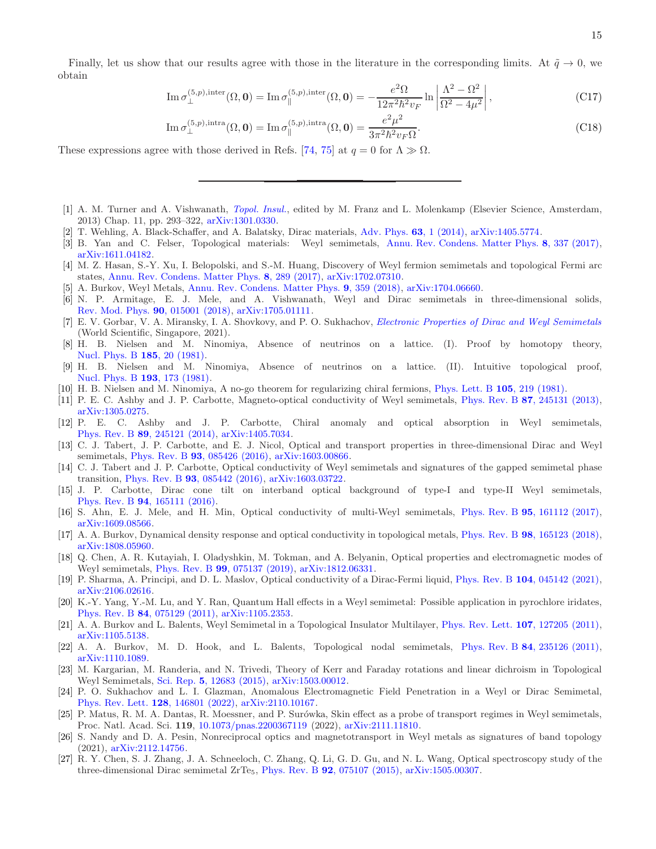$$
\operatorname{Im} \sigma_{\perp}^{(5,p),\text{inter}}(\Omega, \mathbf{0}) = \operatorname{Im} \sigma_{\parallel}^{(5,p),\text{inter}}(\Omega, \mathbf{0}) = -\frac{e^2 \Omega}{12\pi^2 \hbar^2 v_F} \ln \left| \frac{\Lambda^2 - \Omega^2}{\Omega^2 - 4\mu^2} \right|,
$$
(C17)

$$
\operatorname{Im} \sigma_{\perp}^{(5,p),\text{intra}}(\Omega, \mathbf{0}) = \operatorname{Im} \sigma_{\parallel}^{(5,p),\text{intra}}(\Omega, \mathbf{0}) = \frac{e^2 \mu^2}{3\pi^2 \hbar^2 v_F \Omega}.
$$
 (C18)

These expressions agree with those derived in Refs. [\[74,](#page-16-12) [75\]](#page-16-13) at  $q = 0$  for  $\Lambda \gg \Omega$ .

- <span id="page-14-0"></span>[1] A. M. Turner and A. Vishwanath, [Topol. Insul.](http://arxiv.org/abs/1301.0330 https://books.google.com/books?id=1K0ZDAAAQBAJ), edited by M. Franz and L. Molenkamp (Elsevier Science, Amsterdam, 2013) Chap. 11, pp. 293–322, [arXiv:1301.0330.](https://arxiv.org/abs/1301.0330)
- [2] T. Wehling, A. Black-Schaffer, and A. Balatsky, Dirac materials, [Adv. Phys.](https://doi.org/10.1080/00018732.2014.927109) 63, 1 (2014), [arXiv:1405.5774.](https://arxiv.org/abs/1405.5774)
- [3] B. Yan and C. Felser, Topological materials: Weyl semimetals, [Annu. Rev. Condens. Matter Phys.](https://doi.org/10.1146/annurev-conmatphys-031016-025458) 8, 337 (2017), [arXiv:1611.04182.](https://arxiv.org/abs/1611.04182)
- [4] M. Z. Hasan, S.-Y. Xu, I. Belopolski, and S.-M. Huang, Discovery of Weyl fermion semimetals and topological Fermi arc states, [Annu. Rev. Condens. Matter Phys.](https://doi.org/10.1146/annurev-conmatphys-031016-025225) 8, 289 (2017), [arXiv:1702.07310.](https://arxiv.org/abs/1702.07310)
- [5] A. Burkov, Weyl Metals, [Annu. Rev. Condens. Matter Phys.](https://doi.org/10.1146/annurev-conmatphys-033117-054129) 9, 359 (2018), [arXiv:1704.06660.](https://arxiv.org/abs/1704.06660)
- [6] N. P. Armitage, E. J. Mele, and A. Vishwanath, Weyl and Dirac semimetals in three-dimensional solids, [Rev. Mod. Phys.](https://doi.org/10.1103/RevModPhys.90.015001) 90, 015001 (2018), [arXiv:1705.01111.](https://arxiv.org/abs/1705.01111)
- <span id="page-14-1"></span>[7] E. V. Gorbar, V. A. Miransky, I. A. Shovkovy, and P. O. Sukhachov, [Electronic Properties of Dirac and Weyl Semimetals](https://doi.org/10.1142/11475) (World Scientific, Singapore, 2021).
- <span id="page-14-2"></span>[8] H. B. Nielsen and M. Ninomiya, Absence of neutrinos on a lattice. (I). Proof by homotopy theory, [Nucl. Phys. B](https://doi.org/10.1016/0550-3213(81)90361-8) 185, 20 (1981).
- [9] H. B. Nielsen and M. Ninomiya, Absence of neutrinos on a lattice. (II). Intuitive topological proof, [Nucl. Phys. B](https://doi.org/10.1016/0550-3213(81)90524-1) 193, 173 (1981).
- <span id="page-14-3"></span>[10] H. B. Nielsen and M. Ninomiya, A no-go theorem for regularizing chiral fermions, [Phys. Lett. B](https://doi.org/10.1016/0370-2693(81)91026-1) 105, 219 (1981).
- <span id="page-14-4"></span>[11] P. E. C. Ashby and J. P. Carbotte, Magneto-optical conductivity of Weyl semimetals, Phys. Rev. B 87[, 245131 \(2013\),](https://doi.org/10.1103/PhysRevB.87.245131) [arXiv:1305.0275.](https://arxiv.org/abs/1305.0275)
- <span id="page-14-6"></span>[12] P. E. C. Ashby and J. P. Carbotte, Chiral anomaly and optical absorption in Weyl semimetals, Phys. Rev. B 89[, 245121 \(2014\),](https://doi.org/10.1103/PhysRevB.89.245121) [arXiv:1405.7034.](https://arxiv.org/abs/1405.7034)
- <span id="page-14-15"></span>[13] C. J. Tabert, J. P. Carbotte, and E. J. Nicol, Optical and transport properties in three-dimensional Dirac and Weyl semimetals, Phys. Rev. B **93**[, 085426 \(2016\),](https://doi.org/10.1103/PhysRevB.93.085426) [arXiv:1603.00866.](https://arxiv.org/abs/1603.00866)
- [14] C. J. Tabert and J. P. Carbotte, Optical conductivity of Weyl semimetals and signatures of the gapped semimetal phase transition, Phys. Rev. B 93[, 085442 \(2016\),](https://doi.org/10.1103/PhysRevB.93.085442) [arXiv:1603.03722.](https://arxiv.org/abs/1603.03722)
- <span id="page-14-16"></span>[15] J. P. Carbotte, Dirac cone tilt on interband optical background of type-I and type-II Weyl semimetals, Phys. Rev. B 94[, 165111 \(2016\).](https://doi.org/10.1103/PhysRevB.94.165111)
- <span id="page-14-9"></span>[16] S. Ahn, E. J. Mele, and H. Min, Optical conductivity of multi-Weyl semimetals, Phys. Rev. B 95[, 161112 \(2017\),](https://doi.org/10.1103/PhysRevB.95.161112) [arXiv:1609.08566.](https://arxiv.org/abs/1609.08566)
- [17] A. A. Burkov, Dynamical density response and optical conductivity in topological metals, Phys. Rev. B 98[, 165123 \(2018\),](https://doi.org/10.1103/PhysRevB.98.165123) [arXiv:1808.05960.](https://arxiv.org/abs/1808.05960)
- <span id="page-14-10"></span>[18] Q. Chen, A. R. Kutayiah, I. Oladyshkin, M. Tokman, and A. Belyanin, Optical properties and electromagnetic modes of Weyl semimetals, Phys. Rev. B 99[, 075137 \(2019\),](https://doi.org/10.1103/PhysRevB.99.075137) [arXiv:1812.06331.](https://arxiv.org/abs/1812.06331)
- <span id="page-14-5"></span>[19] P. Sharma, A. Principi, and D. L. Maslov, Optical conductivity of a Dirac-Fermi liquid, Phys. Rev. B 104[, 045142 \(2021\),](https://doi.org/10.1103/PhysRevB.104.045142) [arXiv:2106.02616.](https://arxiv.org/abs/2106.02616)
- <span id="page-14-7"></span>[20] K.-Y. Yang, Y.-M. Lu, and Y. Ran, Quantum Hall effects in a Weyl semimetal: Possible application in pyrochlore iridates, Phys. Rev. B 84[, 075129 \(2011\),](https://doi.org/10.1103/PhysRevB.84.075129) [arXiv:1105.2353.](https://arxiv.org/abs/1105.2353)
- [21] A. A. Burkov and L. Balents, Weyl Semimetal in a Topological Insulator Multilayer, [Phys. Rev. Lett.](https://doi.org/10.1103/PhysRevLett.107.127205) 107, 127205 (2011), [arXiv:1105.5138.](https://arxiv.org/abs/1105.5138)
- <span id="page-14-8"></span>[22] A. A. Burkov, M. D. Hook, and L. Balents, Topological nodal semimetals, Phys. Rev. B 84[, 235126 \(2011\),](https://doi.org/10.1103/PhysRevB.84.235126) [arXiv:1110.1089.](https://arxiv.org/abs/1110.1089)
- <span id="page-14-11"></span>[23] M. Kargarian, M. Randeria, and N. Trivedi, Theory of Kerr and Faraday rotations and linear dichroism in Topological Weyl Semimetals, Sci. Rep. 5[, 12683 \(2015\),](https://doi.org/10.1038/srep12683) [arXiv:1503.00012.](https://arxiv.org/abs/1503.00012)
- <span id="page-14-12"></span>[24] P. O. Sukhachov and L. I. Glazman, Anomalous Electromagnetic Field Penetration in a Weyl or Dirac Semimetal, [Phys. Rev. Lett.](https://doi.org/10.1103/PhysRevLett.128.146801) 128, 146801 (2022), [arXiv:2110.10167.](https://arxiv.org/abs/2110.10167)
- [25] P. Matus, R. M. A. Dantas, R. Moessner, and P. Surówka, Skin effect as a probe of transport regimes in Weyl semimetals, Proc. Natl. Acad. Sci. 119, [10.1073/pnas.2200367119](https://doi.org/10.1073/pnas.2200367119) (2022), [arXiv:2111.11810.](https://arxiv.org/abs/2111.11810)
- <span id="page-14-13"></span>[26] S. Nandy and D. A. Pesin, Nonreciprocal optics and magnetotransport in Weyl metals as signatures of band topology (2021), [arXiv:2112.14756.](https://arxiv.org/abs/2112.14756)
- <span id="page-14-14"></span>[27] R. Y. Chen, S. J. Zhang, J. A. Schneeloch, C. Zhang, Q. Li, G. D. Gu, and N. L. Wang, Optical spectroscopy study of the three-dimensional Dirac semimetal  $ZrTe<sub>5</sub>$ , Phys. Rev. B **92**[, 075107 \(2015\),](https://doi.org/10.1103/PhysRevB.92.075107) [arXiv:1505.00307.](https://arxiv.org/abs/1505.00307)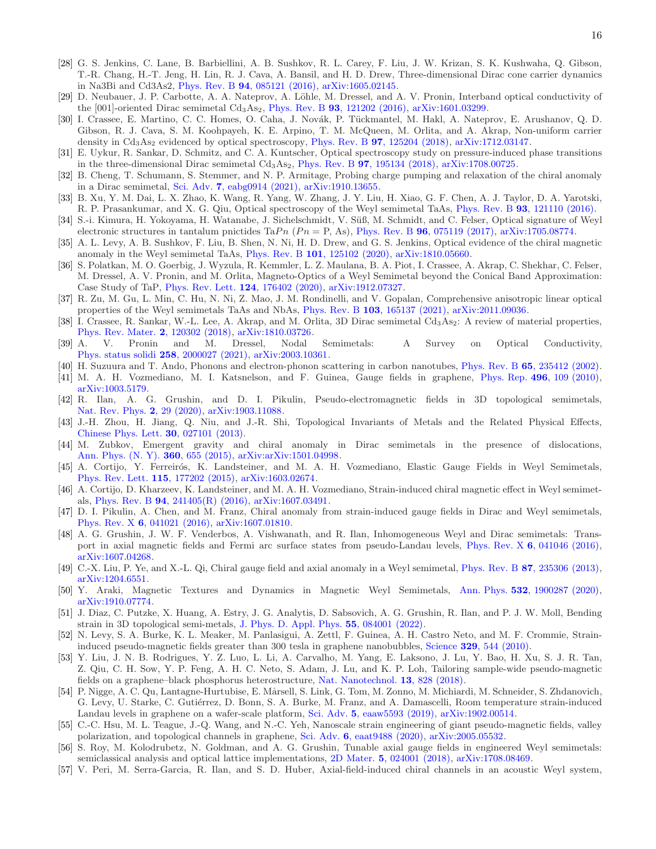- [28] G. S. Jenkins, C. Lane, B. Barbiellini, A. B. Sushkov, R. L. Carey, F. Liu, J. W. Krizan, S. K. Kushwaha, Q. Gibson, T.-R. Chang, H.-T. Jeng, H. Lin, R. J. Cava, A. Bansil, and H. D. Drew, Three-dimensional Dirac cone carrier dynamics in Na3Bi and Cd3As2, Phys. Rev. B 94[, 085121 \(2016\),](https://doi.org/10.1103/PhysRevB.94.085121) [arXiv:1605.02145.](https://arxiv.org/abs/1605.02145)
- [29] D. Neubauer, J. P. Carbotte, A. A. Nateprov, A. Löhle, M. Dressel, and A. V. Pronin, Interband optical conductivity of the  $[001]$ -oriented Dirac semimetal Cd<sub>3</sub>As<sub>2</sub>, Phys. Rev. B **93**[, 121202 \(2016\),](https://doi.org/10.1103/PhysRevB.93.121202) [arXiv:1601.03299.](https://arxiv.org/abs/1601.03299)
- [30] I. Crassee, E. Martino, C. C. Homes, O. Caha, J. Novák, P. Tückmantel, M. Hakl, A. Nateprov, E. Arushanov, Q. D. Gibson, R. J. Cava, S. M. Koohpayeh, K. E. Arpino, T. M. McQueen, M. Orlita, and A. Akrap, Non-uniform carrier density in Cd<sub>3</sub>As<sub>2</sub> evidenced by optical spectroscopy, Phys. Rev. B **97**[, 125204 \(2018\),](https://doi.org/10.1103/PhysRevB.97.125204) [arXiv:1712.03147.](https://arxiv.org/abs/1712.03147)
- [31] E. Uykur, R. Sankar, D. Schmitz, and C. A. Kuntscher, Optical spectroscopy study on pressure-induced phase transitions in the three-dimensional Dirac semimetal  $Cd<sub>3</sub>As<sub>2</sub>$ , Phys. Rev. B **97**[, 195134 \(2018\),](https://doi.org/10.1103/PhysRevB.97.195134) [arXiv:1708.00725.](https://arxiv.org/abs/1708.00725)
- <span id="page-15-0"></span>[32] B. Cheng, T. Schumann, S. Stemmer, and N. P. Armitage, Probing charge pumping and relaxation of the chiral anomaly in a Dirac semimetal, Sci. Adv. 7[, eabg0914 \(2021\),](https://doi.org/10.1126/sciadv.abg0914) [arXiv:1910.13655.](https://arxiv.org/abs/1910.13655)
- [33] B. Xu, Y. M. Dai, L. X. Zhao, K. Wang, R. Yang, W. Zhang, J. Y. Liu, H. Xiao, G. F. Chen, A. J. Taylor, D. A. Yarotski, R. P. Prasankumar, and X. G. Qiu, Optical spectroscopy of the Weyl semimetal TaAs, Phys. Rev. B 93[, 121110 \(2016\).](https://doi.org/10.1103/PhysRevB.93.121110)
- [34] S.-i. Kimura, H. Yokoyama, H. Watanabe, J. Sichelschmidt, V. S¨uß, M. Schmidt, and C. Felser, Optical signature of Weyl electronic structures in tantalum pnictides TaPn  $(Pn = P, As)$ , Phys. Rev. B **96**[, 075119 \(2017\),](https://doi.org/10.1103/PhysRevB.96.075119) [arXiv:1705.08774.](https://arxiv.org/abs/1705.08774)
- [35] A. L. Levy, A. B. Sushkov, F. Liu, B. Shen, N. Ni, H. D. Drew, and G. S. Jenkins, Optical evidence of the chiral magnetic anomaly in the Weyl semimetal TaAs, Phys. Rev. B 101[, 125102 \(2020\),](https://doi.org/10.1103/PhysRevB.101.125102) [arXiv:1810.05660.](https://arxiv.org/abs/1810.05660)
- [36] S. Polatkan, M. O. Goerbig, J. Wyzula, R. Kemmler, L. Z. Maulana, B. A. Piot, I. Crassee, A. Akrap, C. Shekhar, C. Felser, M. Dressel, A. V. Pronin, and M. Orlita, Magneto-Optics of a Weyl Semimetal beyond the Conical Band Approximation: Case Study of TaP, [Phys. Rev. Lett.](https://doi.org/10.1103/PhysRevLett.124.176402) 124, 176402 (2020), [arXiv:1912.07327.](https://arxiv.org/abs/1912.07327)
- <span id="page-15-1"></span>[37] R. Zu, M. Gu, L. Min, C. Hu, N. Ni, Z. Mao, J. M. Rondinelli, and V. Gopalan, Comprehensive anisotropic linear optical properties of the Weyl semimetals TaAs and NbAs, Phys. Rev. B 103[, 165137 \(2021\),](https://doi.org/10.1103/PhysRevB.103.165137) [arXiv:2011.09036.](https://arxiv.org/abs/2011.09036)
- <span id="page-15-2"></span>[38] I. Crassee, R. Sankar, W.-L. Lee, A. Akrap, and M. Orlita, 3D Dirac semimetal Cd<sub>3</sub>As<sub>2</sub>: A review of material properties, [Phys. Rev. Mater.](https://doi.org/10.1103/PhysRevMaterials.2.120302) 2, 120302 (2018), [arXiv:1810.03726.](https://arxiv.org/abs/1810.03726)
- <span id="page-15-3"></span>[39] A. V. Pronin and M. Dressel, Nodal Semimetals: A Survey on Optical Conductivity, [Phys. status solidi](https://doi.org/10.1002/pssb.202000027) 258, 2000027 (2021), [arXiv:2003.10361.](https://arxiv.org/abs/2003.10361)
- <span id="page-15-4"></span>[40] H. Suzuura and T. Ando, Phonons and electron-phonon scattering in carbon nanotubes, Phys. Rev. B 65[, 235412 \(2002\).](https://doi.org/10.1103/PhysRevB.65.235412)
- <span id="page-15-5"></span>[41] M. A. H. Vozmediano, M. I. Katsnelson, and F. Guinea, Gauge fields in graphene, Phys. Rep. 496[, 109 \(2010\),](https://doi.org/10.1016/j.physrep.2010.07.003) [arXiv:1003.5179.](https://arxiv.org/abs/1003.5179)
- <span id="page-15-6"></span>[42] R. Ilan, A. G. Grushin, and D. I. Pikulin, Pseudo-electromagnetic fields in 3D topological semimetals, [Nat. Rev. Phys.](https://doi.org/10.1038/s42254-019-0121-8) 2, 29 (2020), [arXiv:1903.11088.](https://arxiv.org/abs/1903.11088)
- <span id="page-15-7"></span>[43] J.-H. Zhou, H. Jiang, Q. Niu, and J.-R. Shi, Topological Invariants of Metals and the Related Physical Effects, [Chinese Phys. Lett.](https://doi.org/10.1088/0256-307X/30/2/027101) 30, 027101 (2013).
- [44] M. Zubkov, Emergent gravity and chiral anomaly in Dirac semimetals in the presence of dislocations, [Ann. Phys. \(N. Y\).](https://doi.org/10.1016/j.aop.2015.05.032) 360, 655 (2015), [arXiv:arXiv:1501.04998.](https://arxiv.org/abs/arXiv:1501.04998)
- <span id="page-15-17"></span>[45] A. Cortijo, Y. Ferreirós, K. Landsteiner, and M. A. H. Vozmediano, Elastic Gauge Fields in Weyl Semimetals, [Phys. Rev. Lett.](https://doi.org/10.1103/PhysRevLett.115.177202) 115, 177202 (2015), [arXiv:1603.02674.](https://arxiv.org/abs/1603.02674)
- <span id="page-15-15"></span>[46] A. Cortijo, D. Kharzeev, K. Landsteiner, and M. A. H. Vozmediano, Strain-induced chiral magnetic effect in Weyl semimetals, Phys. Rev. B 94[, 241405\(R\) \(2016\),](https://doi.org/10.1103/PhysRevB.94.241405) [arXiv:1607.03491.](https://arxiv.org/abs/1607.03491)
- [47] D. I. Pikulin, A. Chen, and M. Franz, Chiral anomaly from strain-induced gauge fields in Dirac and Weyl semimetals, Phys. Rev. X 6[, 041021 \(2016\),](https://doi.org/10.1103/PhysRevX.6.041021) [arXiv:1607.01810.](https://arxiv.org/abs/1607.01810)
- <span id="page-15-8"></span>[48] A. G. Grushin, J. W. F. Venderbos, A. Vishwanath, and R. Ilan, Inhomogeneous Weyl and Dirac semimetals: Transport in axial magnetic fields and Fermi arc surface states from pseudo-Landau levels, Phys. Rev. X 6[, 041046 \(2016\),](https://doi.org/10.1103/PhysRevX.6.041046) [arXiv:1607.04268.](https://arxiv.org/abs/1607.04268)
- <span id="page-15-9"></span>[49] C.-X. Liu, P. Ye, and X.-L. Qi, Chiral gauge field and axial anomaly in a Weyl semimetal, Phys. Rev. B 87[, 235306 \(2013\),](https://doi.org/10.1103/PhysRevB.87.235306) [arXiv:1204.6551.](https://arxiv.org/abs/1204.6551)
- <span id="page-15-10"></span>[50] Y. Araki, Magnetic Textures and Dynamics in Magnetic Weyl Semimetals, Ann. Phys. 532[, 1900287 \(2020\),](https://doi.org/10.1002/andp.201900287) [arXiv:1910.07774.](https://arxiv.org/abs/1910.07774)
- <span id="page-15-11"></span>[51] J. Diaz, C. Putzke, X. Huang, A. Estry, J. G. Analytis, D. Sabsovich, A. G. Grushin, R. Ilan, and P. J. W. Moll, Bending strain in 3D topological semi-metals, [J. Phys. D. Appl. Phys.](https://doi.org/10.1088/1361-6463/ac357f) 55, 084001 (2022).
- <span id="page-15-12"></span>[52] N. Levy, S. A. Burke, K. L. Meaker, M. Panlasigui, A. Zettl, F. Guinea, A. H. Castro Neto, and M. F. Crommie, Straininduced pseudo-magnetic fields greater than 300 tesla in graphene nanobubbles, Science 329[, 544 \(2010\).](https://doi.org/10.1126/science.1191700)
- [53] Y. Liu, J. N. B. Rodrigues, Y. Z. Luo, L. Li, A. Carvalho, M. Yang, E. Laksono, J. Lu, Y. Bao, H. Xu, S. J. R. Tan, Z. Qiu, C. H. Sow, Y. P. Feng, A. H. C. Neto, S. Adam, J. Lu, and K. P. Loh, Tailoring sample-wide pseudo-magnetic fields on a graphene–black phosphorus heterostructure, [Nat. Nanotechnol.](https://doi.org/10.1038/s41565-018-0178-z) 13, 828 (2018).
- [54] P. Nigge, A. C. Qu, Lantagne-Hurtubise, E. Mårsell, S. Link, G. Tom, M. Zonno, M. Michiardi, M. Schneider, S. Zhdanovich, G. Levy, U. Starke, C. Gutiérrez, D. Bonn, S. A. Burke, M. Franz, and A. Damascelli, Room temperature strain-induced Landau levels in graphene on a wafer-scale platform, Sci. Adv. 5[, eaaw5593 \(2019\),](https://doi.org/10.1126/sciadv.aaw5593) [arXiv:1902.00514.](https://arxiv.org/abs/1902.00514)
- <span id="page-15-13"></span>[55] C.-C. Hsu, M. L. Teague, J.-Q. Wang, and N.-C. Yeh, Nanoscale strain engineering of giant pseudo-magnetic fields, valley polarization, and topological channels in graphene, Sci. Adv. 6[, eaat9488 \(2020\),](https://doi.org/10.1126/sciadv.aat9488) [arXiv:2005.05532.](https://arxiv.org/abs/2005.05532)
- <span id="page-15-14"></span>[56] S. Roy, M. Kolodrubetz, N. Goldman, and A. G. Grushin, Tunable axial gauge fields in engineered Weyl semimetals: semiclassical analysis and optical lattice implementations, 2D Mater. 5[, 024001 \(2018\),](https://doi.org/10.1088/2053-1583/aaa577) [arXiv:1708.08469.](https://arxiv.org/abs/1708.08469)
- <span id="page-15-16"></span>[57] V. Peri, M. Serra-Garcia, R. Ilan, and S. D. Huber, Axial-field-induced chiral channels in an acoustic Weyl system,